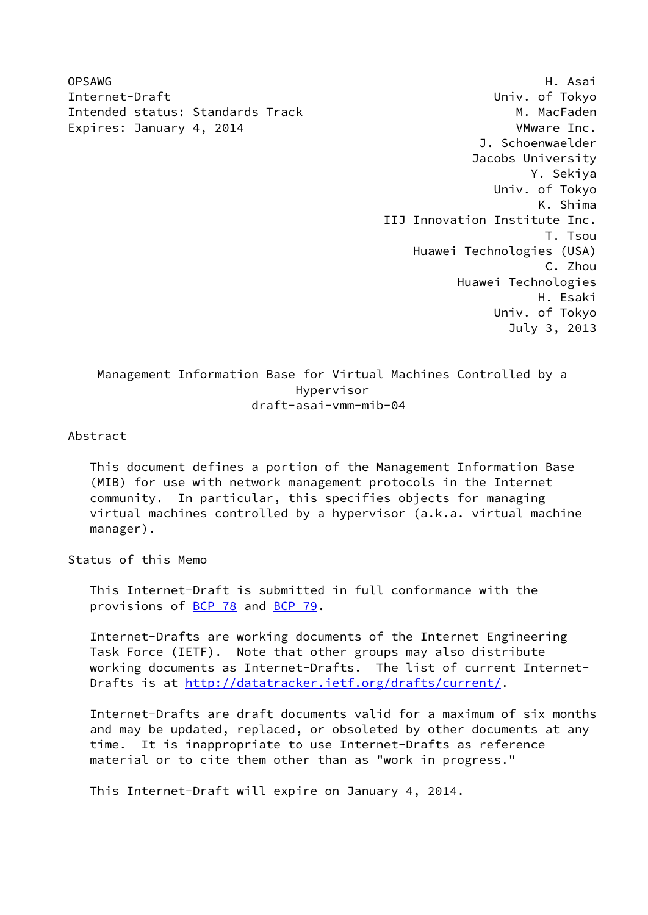OPSAWG H. Asai Internet-Draft **Internet-Draft** Service Controller Controller Controller Controller Univ. of Tokyo Intended status: Standards Track M. MacFaden Expires: January 4, 2014 **VMware Inc.** 

 J. Schoenwaelder Jacobs University Y. Sekiya Univ. of Tokyo K. Shima IIJ Innovation Institute Inc. T. Tsou Huawei Technologies (USA) C. Zhou Huawei Technologies H. Esaki Univ. of Tokyo July 3, 2013

# Management Information Base for Virtual Machines Controlled by a Hypervisor draft-asai-vmm-mib-04

Abstract

 This document defines a portion of the Management Information Base (MIB) for use with network management protocols in the Internet community. In particular, this specifies objects for managing virtual machines controlled by a hypervisor (a.k.a. virtual machine manager).

Status of this Memo

 This Internet-Draft is submitted in full conformance with the provisions of [BCP 78](https://datatracker.ietf.org/doc/pdf/bcp78) and [BCP 79](https://datatracker.ietf.org/doc/pdf/bcp79).

 Internet-Drafts are working documents of the Internet Engineering Task Force (IETF). Note that other groups may also distribute working documents as Internet-Drafts. The list of current Internet Drafts is at<http://datatracker.ietf.org/drafts/current/>.

 Internet-Drafts are draft documents valid for a maximum of six months and may be updated, replaced, or obsoleted by other documents at any time. It is inappropriate to use Internet-Drafts as reference material or to cite them other than as "work in progress."

This Internet-Draft will expire on January 4, 2014.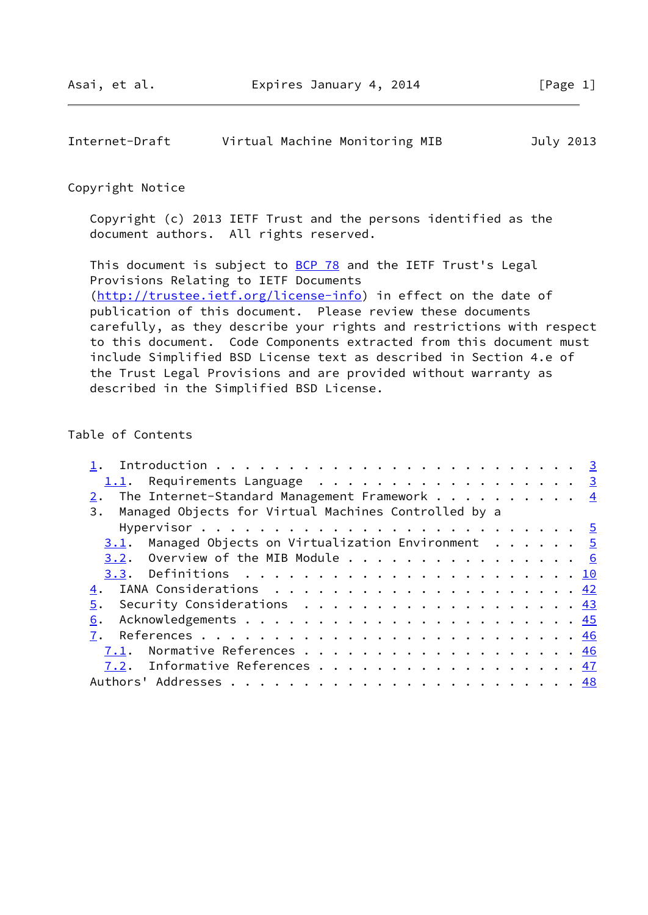| Internet-Draft | Virtual Machine Monitoring MIB |  | July 2013 |
|----------------|--------------------------------|--|-----------|
|----------------|--------------------------------|--|-----------|

#### Copyright Notice

 Copyright (c) 2013 IETF Trust and the persons identified as the document authors. All rights reserved.

This document is subject to **[BCP 78](https://datatracker.ietf.org/doc/pdf/bcp78)** and the IETF Trust's Legal Provisions Relating to IETF Documents [\(http://trustee.ietf.org/license-info](http://trustee.ietf.org/license-info)) in effect on the date of publication of this document. Please review these documents carefully, as they describe your rights and restrictions with respect to this document. Code Components extracted from this document must include Simplified BSD License text as described in Section 4.e of the Trust Legal Provisions and are provided without warranty as described in the Simplified BSD License.

## Table of Contents

| 1.1. Requirements Language 3                               |  |
|------------------------------------------------------------|--|
| The Internet-Standard Management Framework $\frac{4}{5}$   |  |
| Managed Objects for Virtual Machines Controlled by a<br>3. |  |
|                                                            |  |
| $3.1$ . Managed Objects on Virtualization Environment 5    |  |
| 3.2. Overview of the MIB Module 6                          |  |
|                                                            |  |
| 4.                                                         |  |
| Security Considerations 43<br>5.                           |  |
| 6.                                                         |  |
|                                                            |  |
| Normative References 46<br>7.1.                            |  |
| 7.2. Informative References 47                             |  |
|                                                            |  |
|                                                            |  |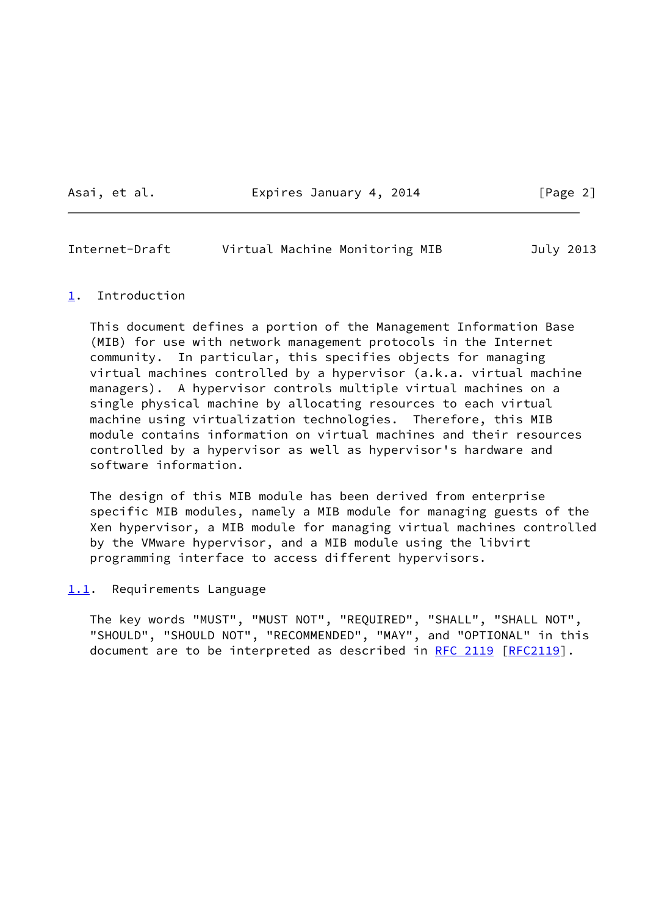Asai, et al. **Expires January 4, 2014** [Page 2]

### <span id="page-2-1"></span>Internet-Draft Virtual Machine Monitoring MIB July 2013

#### <span id="page-2-0"></span>[1](#page-2-0). Introduction

 This document defines a portion of the Management Information Base (MIB) for use with network management protocols in the Internet community. In particular, this specifies objects for managing virtual machines controlled by a hypervisor (a.k.a. virtual machine managers). A hypervisor controls multiple virtual machines on a single physical machine by allocating resources to each virtual machine using virtualization technologies. Therefore, this MIB module contains information on virtual machines and their resources controlled by a hypervisor as well as hypervisor's hardware and software information.

 The design of this MIB module has been derived from enterprise specific MIB modules, namely a MIB module for managing guests of the Xen hypervisor, a MIB module for managing virtual machines controlled by the VMware hypervisor, and a MIB module using the libvirt programming interface to access different hypervisors.

#### <span id="page-2-2"></span>[1.1](#page-2-2). Requirements Language

 The key words "MUST", "MUST NOT", "REQUIRED", "SHALL", "SHALL NOT", "SHOULD", "SHOULD NOT", "RECOMMENDED", "MAY", and "OPTIONAL" in this document are to be interpreted as described in [RFC 2119 \[RFC2119](https://datatracker.ietf.org/doc/pdf/rfc2119)].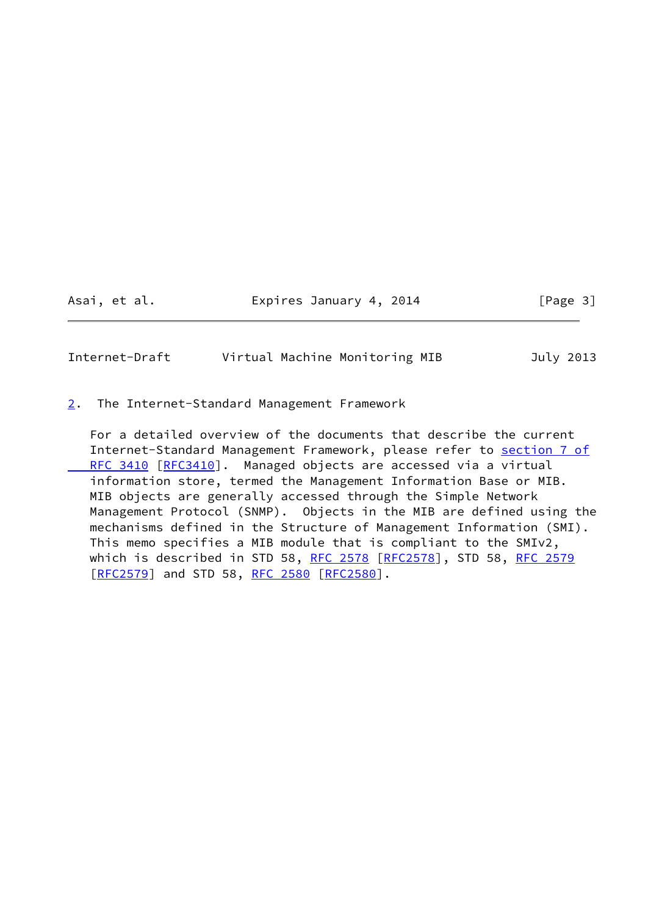#### Asai, et al. **Expires January 4, 2014** [Page 3]

<span id="page-3-1"></span>Internet-Draft Virtual Machine Monitoring MIB July 2013

<span id="page-3-0"></span>[2](#page-3-0). The Internet-Standard Management Framework

 For a detailed overview of the documents that describe the current Internet-Standard Management Framework, please refer to [section](https://datatracker.ietf.org/doc/pdf/rfc3410#section-7) 7 of RFC 3410 [\[RFC3410](https://datatracker.ietf.org/doc/pdf/rfc3410)]. Managed objects are accessed via a virtual information store, termed the Management Information Base or MIB. MIB objects are generally accessed through the Simple Network Management Protocol (SNMP). Objects in the MIB are defined using the mechanisms defined in the Structure of Management Information (SMI). This memo specifies a MIB module that is compliant to the SMIv2, which is described in STD 58, [RFC 2578](https://datatracker.ietf.org/doc/pdf/rfc2578) [\[RFC2578](https://datatracker.ietf.org/doc/pdf/rfc2578)], STD 58, [RFC 2579](https://datatracker.ietf.org/doc/pdf/rfc2579) [\[RFC2579](https://datatracker.ietf.org/doc/pdf/rfc2579)] and STD 58, [RFC 2580](https://datatracker.ietf.org/doc/pdf/rfc2580) [\[RFC2580](https://datatracker.ietf.org/doc/pdf/rfc2580)].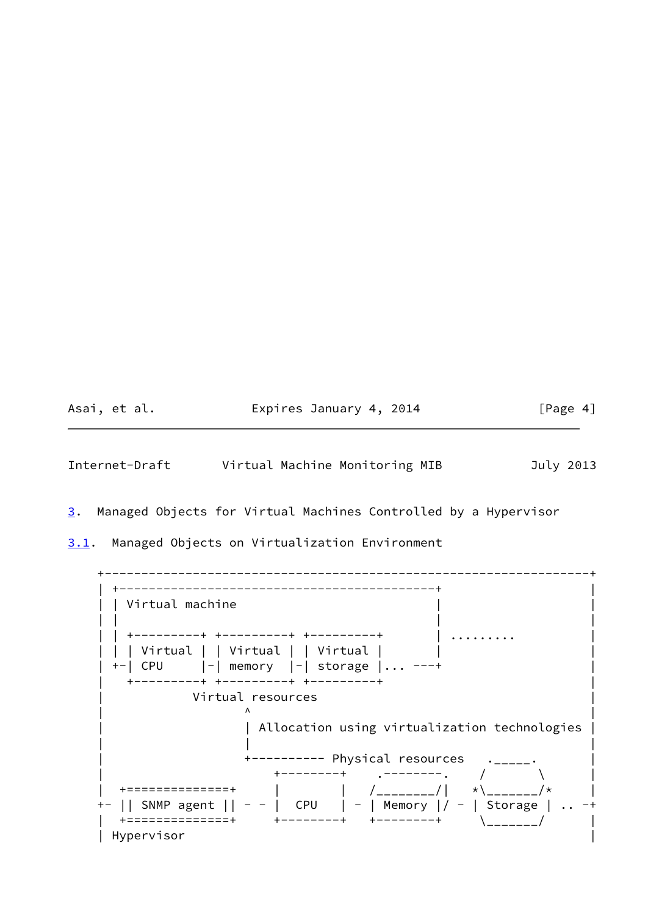| Expires January 4, 2014 | [Page 4] |  | Asai, et al. |
|-------------------------|----------|--|--------------|
|-------------------------|----------|--|--------------|

<span id="page-4-0"></span>Internet-Draft Virtual Machine Monitoring MIB July 2013

<span id="page-4-2"></span>[3](#page-4-2). Managed Objects for Virtual Machines Controlled by a Hypervisor

<span id="page-4-1"></span>[3.1](#page-4-1). Managed Objects on Virtualization Environment

 +------------------------------------------------------------------+ | +-------------------------------------------+ | | Virtual machine | | | | | | +---------+ +---------+ +---------+ | ......... | | | | Virtual | | Virtual | | Virtual | | | | +-| CPU |-| memory |-| storage |... ---+ | | +---------+ +---------+ +---------+ | Virtual resources  $\wedge$   $\wedge$   $\wedge$   $\wedge$   $\wedge$   $\wedge$   $\wedge$   $\wedge$   $\wedge$   $\wedge$   $\wedge$   $\wedge$   $\wedge$   $\wedge$   $\wedge$   $\wedge$   $\wedge$   $\wedge$   $\wedge$   $\wedge$   $\wedge$   $\wedge$   $\wedge$   $\wedge$   $\wedge$   $\wedge$   $\wedge$   $\wedge$   $\wedge$   $\wedge$   $\wedge$   $\wedge$   $\wedge$   $\wedge$   $\wedge$   $\wedge$   $\wedge$ | Allocation using virtualization technologies | | | | +---------- Physical resources .\_\_\_\_\_. | | +--------+ .--------. / \ | +============+ | | /\_\_\_\_\_\_\_\_/| \*\\_\_\_\_\_\_\_/\* +- || SNMP agent || - - | CPU | - | Memory |/ - | Storage | .. -+ | +==============+ +--------+ +--------+ \\_\_\_\_\_\_\_/ | | Hypervisor |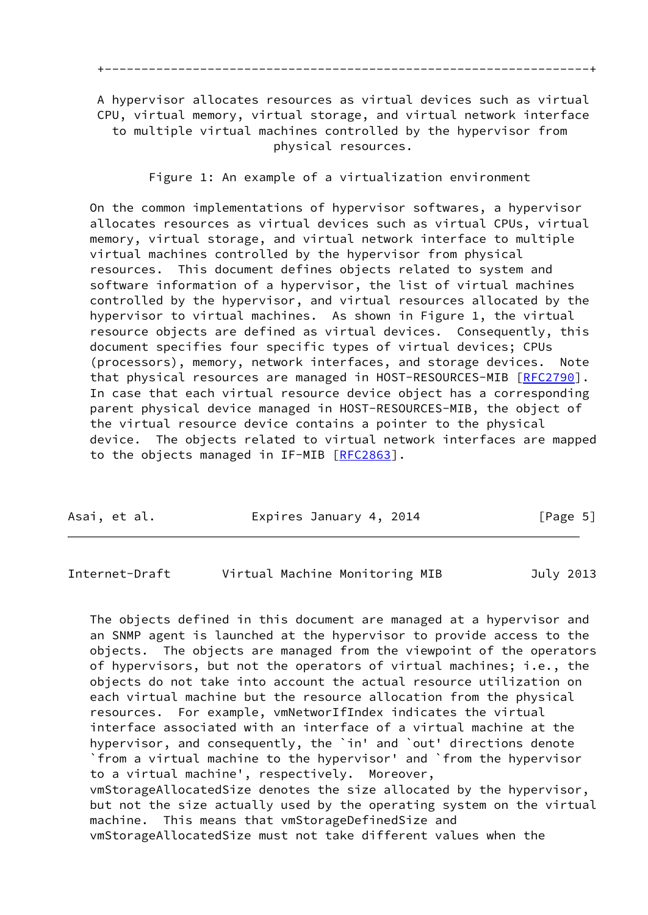A hypervisor allocates resources as virtual devices such as virtual CPU, virtual memory, virtual storage, and virtual network interface to multiple virtual machines controlled by the hypervisor from physical resources.

+------------------------------------------------------------------+

Figure 1: An example of a virtualization environment

 On the common implementations of hypervisor softwares, a hypervisor allocates resources as virtual devices such as virtual CPUs, virtual memory, virtual storage, and virtual network interface to multiple virtual machines controlled by the hypervisor from physical resources. This document defines objects related to system and software information of a hypervisor, the list of virtual machines controlled by the hypervisor, and virtual resources allocated by the hypervisor to virtual machines. As shown in Figure 1, the virtual resource objects are defined as virtual devices. Consequently, this document specifies four specific types of virtual devices; CPUs (processors), memory, network interfaces, and storage devices. Note that physical resources are managed in HOST-RESOURCES-MIB [[RFC2790](https://datatracker.ietf.org/doc/pdf/rfc2790)]. In case that each virtual resource device object has a corresponding parent physical device managed in HOST-RESOURCES-MIB, the object of the virtual resource device contains a pointer to the physical device. The objects related to virtual network interfaces are mapped to the objects managed in IF-MIB [\[RFC2863](https://datatracker.ietf.org/doc/pdf/rfc2863)].

| Asai, et al.<br>Expires January 4, 2014 | [Page 5] |
|-----------------------------------------|----------|
|-----------------------------------------|----------|

<span id="page-5-0"></span>Internet-Draft Virtual Machine Monitoring MIB July 2013

 The objects defined in this document are managed at a hypervisor and an SNMP agent is launched at the hypervisor to provide access to the objects. The objects are managed from the viewpoint of the operators of hypervisors, but not the operators of virtual machines; i.e., the objects do not take into account the actual resource utilization on each virtual machine but the resource allocation from the physical resources. For example, vmNetworIfIndex indicates the virtual interface associated with an interface of a virtual machine at the hypervisor, and consequently, the 'in' and 'out' directions denote `from a virtual machine to the hypervisor' and `from the hypervisor to a virtual machine', respectively. Moreover, vmStorageAllocatedSize denotes the size allocated by the hypervisor, but not the size actually used by the operating system on the virtual machine. This means that vmStorageDefinedSize and vmStorageAllocatedSize must not take different values when the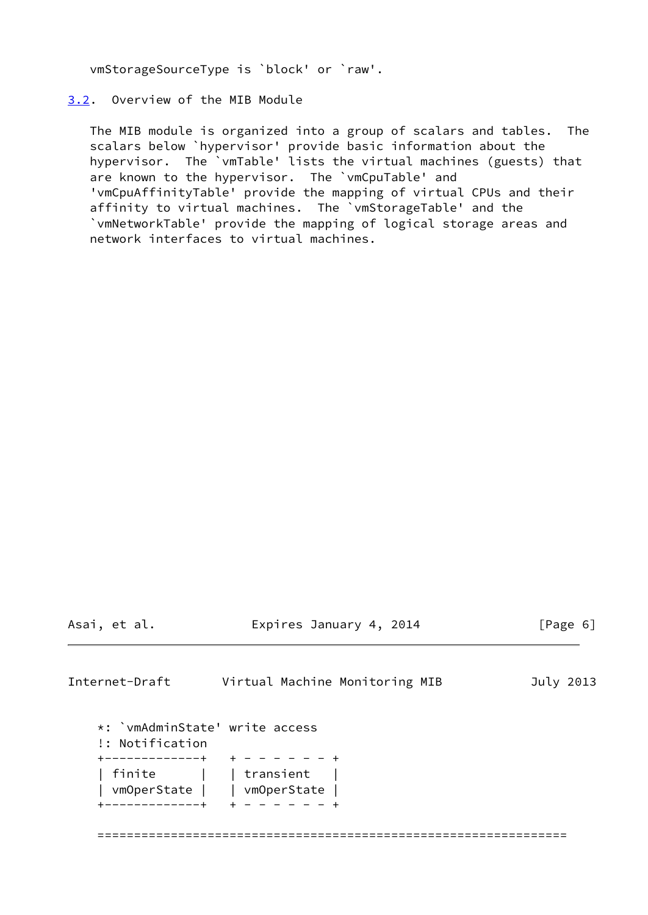vmStorageSourceType is `block' or `raw'.

#### <span id="page-6-0"></span>[3.2](#page-6-0). Overview of the MIB Module

 The MIB module is organized into a group of scalars and tables. The scalars below `hypervisor' provide basic information about the hypervisor. The `vmTable' lists the virtual machines (guests) that are known to the hypervisor. The `vmCpuTable' and 'vmCpuAffinityTable' provide the mapping of virtual CPUs and their affinity to virtual machines. The `vmStorageTable' and the `vmNetworkTable' provide the mapping of logical storage areas and network interfaces to virtual machines.

Asai, et al. Expires January 4, 2014 [Page 6]

Internet-Draft Virtual Machine Monitoring MIB July 2013 \*: `vmAdminState' write access !: Notification +-------------+ + - - - - - - + | finite | | transient | | vmOperState | | vmOperState | +-------------+ + - - - - - - + ================================================================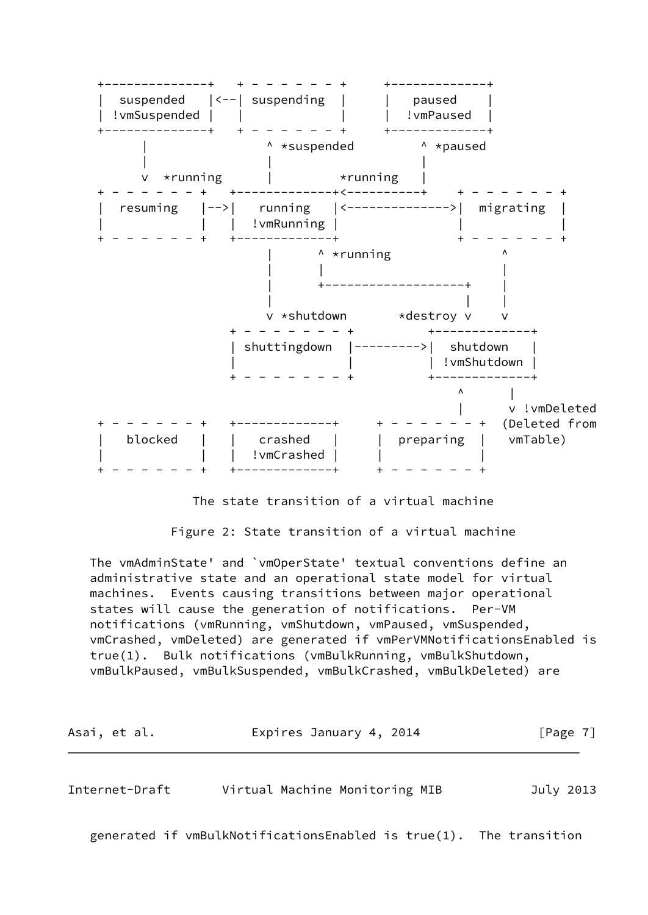

The state transition of a virtual machine

Figure 2: State transition of a virtual machine

 The vmAdminState' and `vmOperState' textual conventions define an administrative state and an operational state model for virtual machines. Events causing transitions between major operational states will cause the generation of notifications. Per-VM notifications (vmRunning, vmShutdown, vmPaused, vmSuspended, vmCrashed, vmDeleted) are generated if vmPerVMNotificationsEnabled is true(1). Bulk notifications (vmBulkRunning, vmBulkShutdown, vmBulkPaused, vmBulkSuspended, vmBulkCrashed, vmBulkDeleted) are

Asai, et al. **Expires January 4, 2014** [Page 7]

Internet-Draft Virtual Machine Monitoring MIB July 2013

generated if vmBulkNotificationsEnabled is true(1). The transition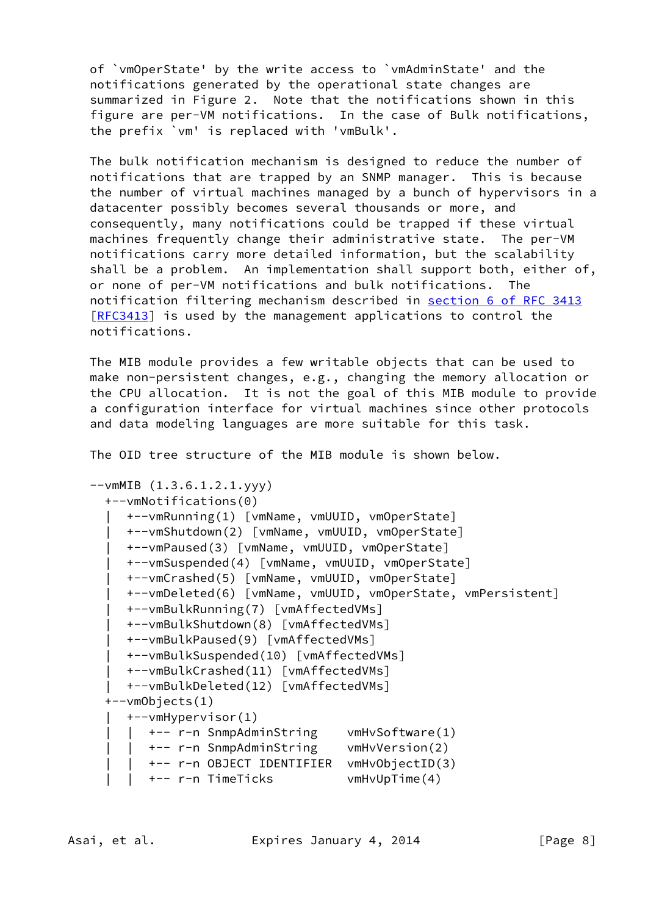of `vmOperState' by the write access to `vmAdminState' and the notifications generated by the operational state changes are summarized in Figure 2. Note that the notifications shown in this figure are per-VM notifications. In the case of Bulk notifications, the prefix `vm' is replaced with 'vmBulk'.

 The bulk notification mechanism is designed to reduce the number of notifications that are trapped by an SNMP manager. This is because the number of virtual machines managed by a bunch of hypervisors in a datacenter possibly becomes several thousands or more, and consequently, many notifications could be trapped if these virtual machines frequently change their administrative state. The per-VM notifications carry more detailed information, but the scalability shall be a problem. An implementation shall support both, either of, or none of per-VM notifications and bulk notifications. The notification filtering mechanism described in section [6 of RFC 3413](https://datatracker.ietf.org/doc/pdf/rfc3413#section-6) [\[RFC3413](https://datatracker.ietf.org/doc/pdf/rfc3413)] is used by the management applications to control the notifications.

 The MIB module provides a few writable objects that can be used to make non-persistent changes, e.g., changing the memory allocation or the CPU allocation. It is not the goal of this MIB module to provide a configuration interface for virtual machines since other protocols and data modeling languages are more suitable for this task.

The OID tree structure of the MIB module is shown below.

--vmMIB (1.3.6.1.2.1.yyy)

```
 +--vmNotifications(0)
   | +--vmRunning(1) [vmName, vmUUID, vmOperState]
   | +--vmShutdown(2) [vmName, vmUUID, vmOperState]
   | +--vmPaused(3) [vmName, vmUUID, vmOperState]
   | +--vmSuspended(4) [vmName, vmUUID, vmOperState]
   | +--vmCrashed(5) [vmName, vmUUID, vmOperState]
   | +--vmDeleted(6) [vmName, vmUUID, vmOperState, vmPersistent]
   | +--vmBulkRunning(7) [vmAffectedVMs]
   | +--vmBulkShutdown(8) [vmAffectedVMs]
   | +--vmBulkPaused(9) [vmAffectedVMs]
   | +--vmBulkSuspended(10) [vmAffectedVMs]
   | +--vmBulkCrashed(11) [vmAffectedVMs]
   | +--vmBulkDeleted(12) [vmAffectedVMs]
 +--vmObjects(1)
 | +--vmHypervisor(1)
 | | +-- r-n SnmpAdminString vmHvSoftware(1)
 | | +-- r-n SnmpAdminString vmHvVersion(2)
  | | +-- r-n OBJECT IDENTIFIER vmHvObjectID(3)
  | | +-- r-n TimeTicks vmHvUpTime(4)
```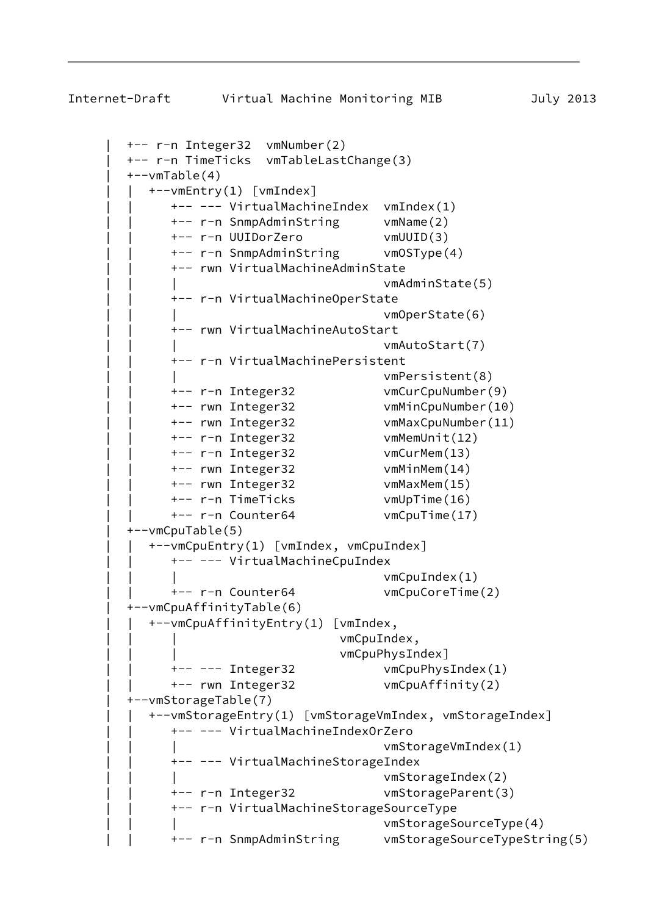```
 | +-- r-n Integer32 vmNumber(2)
 | +-- r-n TimeTicks vmTableLastChange(3)
+--vmTable(4)
  +--vmEntry(1) [vmIndex]
       | | +-- --- VirtualMachineIndex vmIndex(1)
      | | +-- r-n SnmpAdminString vmName(2)
      | | +-- r-n UUIDorZero vmUUID(3)
       | | +-- r-n SnmpAdminString vmOSType(4)
       | | +-- rwn VirtualMachineAdminState
                                    | | | vmAdminState(5)
      | | +-- r-n VirtualMachineOperState
                                   vmOperState(6)
       | | +-- rwn VirtualMachineAutoStart
                                   vmAutoStart(7)
       | | +-- r-n VirtualMachinePersistent
                                   | | | vmPersistent(8)
      | | +-- r-n Integer32 vmCurCpuNumber(9)
      | | +-- rwn Integer32 vmMinCpuNumber(10)
      | | +-- rwn Integer32 vmMaxCpuNumber(11)
      | | +-- r-n Integer32 vmMemUnit(12)
      | | +-- r-n Integer32 vmCurMem(13)
      | | +-- rwn Integer32 vmMinMem(14)
      | | +-- rwn Integer32 vmMaxMem(15)
       | | +-- r-n TimeTicks vmUpTime(16)
      | | +-- r-n Counter64 vmCpuTime(17)
  | +--vmCpuTable(5)
    | | +--vmCpuEntry(1) [vmIndex, vmCpuIndex]
      | | +-- --- VirtualMachineCpuIndex
                                   vmCpuIndex(1) | | +-- r-n Counter64 vmCpuCoreTime(2)
 | +--vmCpuAffinityTable(6)
    | | +--vmCpuAffinityEntry(1) [vmIndex,
                             vmCpuIndex,
                             vmCpuPhysIndex]
     +-- --- Integer32 vmCpuPhysIndex(1)
      | | +-- rwn Integer32 vmCpuAffinity(2)
 | +--vmStorageTable(7)
   | | +--vmStorageEntry(1) [vmStorageVmIndex, vmStorageIndex]
      | | +-- --- VirtualMachineIndexOrZero
                                   vmStorageVmIndex(1)
      | | +-- --- VirtualMachineStorageIndex
       | | | vmStorageIndex(2)
      | | +-- r-n Integer32 vmStorageParent(3)
      | | +-- r-n VirtualMachineStorageSourceType
```
| | | vmStorageSourceType(4)

| | +-- r-n SnmpAdminString vmStorageSourceTypeString(5)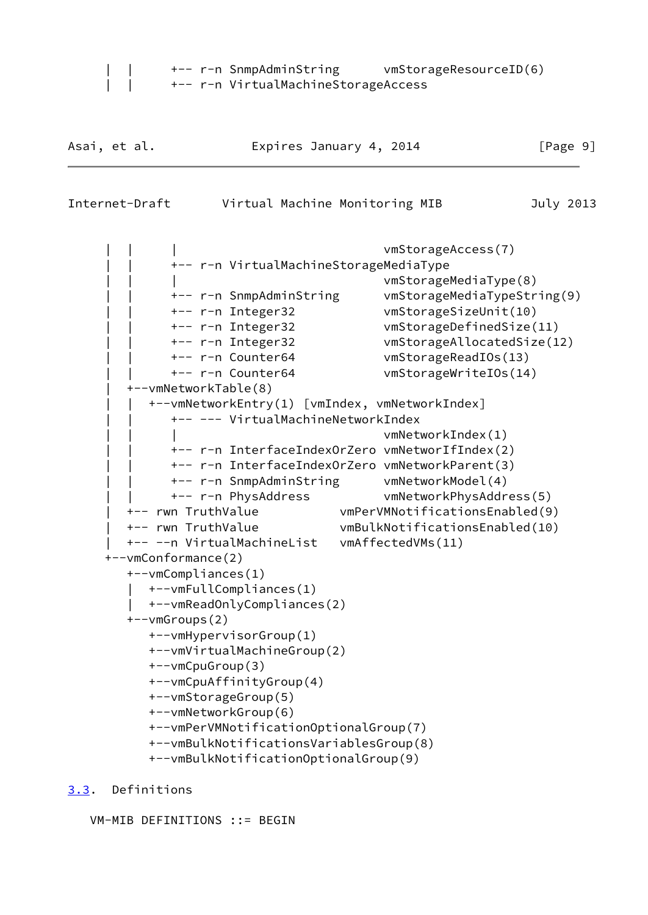| | +-- r-n SnmpAdminString vmStorageResourceID(6) | | +-- r-n VirtualMachineStorageAccess

<span id="page-10-1"></span>

| Asai, et al.   | Expires January 4, 2014                                                                                                                                                                                                                                                                                                                                                                                                                                                                                                                                                                                                                                                                                                                                                                                                                                                                                                                                            |                                                                                                                                                                                                                                                                                                                                | [Page 9]                    |
|----------------|--------------------------------------------------------------------------------------------------------------------------------------------------------------------------------------------------------------------------------------------------------------------------------------------------------------------------------------------------------------------------------------------------------------------------------------------------------------------------------------------------------------------------------------------------------------------------------------------------------------------------------------------------------------------------------------------------------------------------------------------------------------------------------------------------------------------------------------------------------------------------------------------------------------------------------------------------------------------|--------------------------------------------------------------------------------------------------------------------------------------------------------------------------------------------------------------------------------------------------------------------------------------------------------------------------------|-----------------------------|
| Internet-Draft | Virtual Machine Monitoring MIB                                                                                                                                                                                                                                                                                                                                                                                                                                                                                                                                                                                                                                                                                                                                                                                                                                                                                                                                     |                                                                                                                                                                                                                                                                                                                                | July 2013                   |
|                | +-- r-n VirtualMachineStorageMediaType<br>+-- r-n SnmpAdminString<br>+-- r-n Integer32<br>+-- r-n Integer32<br>+-- r-n Integer32<br>+-- r-n Counter64<br>+-- r-n Counter64<br>+--vmNetworkTable(8)<br>+--vmNetworkEntry(1) [vmIndex, vmNetworkIndex]<br>+-- --- VirtualMachineNetworkIndex<br>+-- r-n InterfaceIndexOrZero vmNetworIfIndex(2)<br>+-- r-n InterfaceIndexOrZero vmNetworkParent(3)<br>+-- r-n SnmpAdminString vmNetworkModel(4)<br>+-- r-n PhysAddress<br>+-- rwn TruthValue<br>+-- rwn TruthValue<br>+-- --n VirtualMachineList<br>+--vmConformance(2)<br>+--vmCompliances(1)<br>+--vmFullCompliances(1)<br>+--vmReadOnlyCompliances(2)<br>+--vmGroups(2)<br>+--vmHypervisorGroup(1)<br>+--vmVirtualMachineGroup(2)<br>$+--vmCpuGroup(3)$<br>+--vmCpuAffinityGroup(4)<br>+--vmStorageGroup(5)<br>+--vmNetworkGroup(6)<br>+--vmPerVMNotificationOptionalGroup(7)<br>+--vmBulkNotificationsVariablesGroup(8)<br>+--vmBulkNotificationOptionalGroup(9) | vmStorageAccess(7)<br>vmStorageMediaType(8)<br>vmStorageSizeUnit(10)<br>vmStorageDefinedSize(11)<br>vmStorageAllocatedSize(12)<br>vmStorageReadIOs(13)<br>vmStorageWriteIOs(14)<br>$v$ mNetworkIndex $(1)$<br>vmNetworkPhysAddress(5)<br>vmPerVMNotificationsEnabled(9)<br>vmBulkNotificationsEnabled(10)<br>vmAffectedVMs(11) | vmStorageMediaTypeString(9) |

<span id="page-10-0"></span>[3.3](#page-10-0). Definitions

VM-MIB DEFINITIONS ::= BEGIN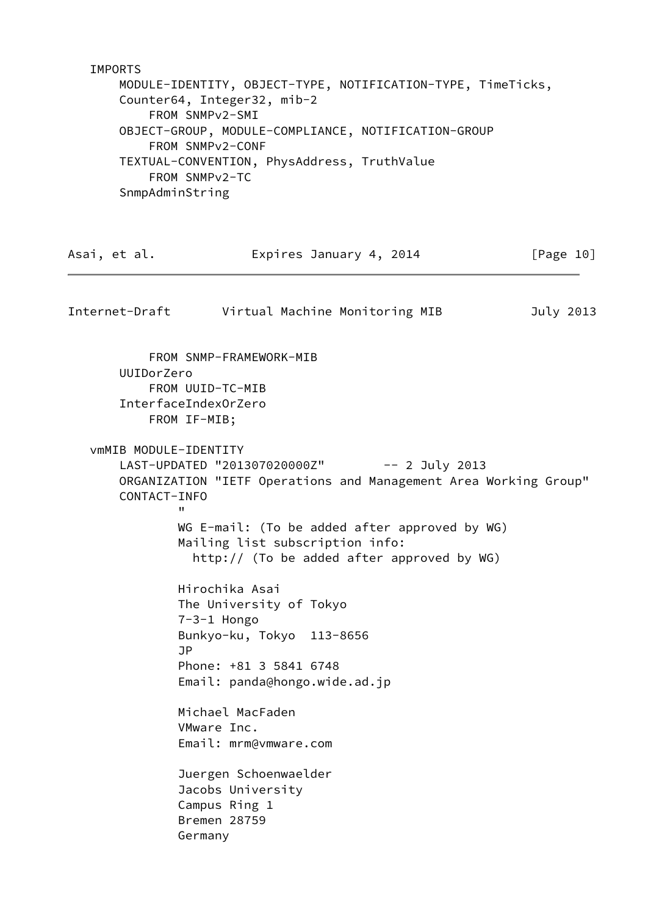IMPORTS

 MODULE-IDENTITY, OBJECT-TYPE, NOTIFICATION-TYPE, TimeTicks, Counter64, Integer32, mib-2 FROM SNMPv2-SMI OBJECT-GROUP, MODULE-COMPLIANCE, NOTIFICATION-GROUP FROM SNMPv2-CONF TEXTUAL-CONVENTION, PhysAddress, TruthValue FROM SNMPv2-TC SnmpAdminString

| Asai, et al. | Expires January 4, 2014                                                                                                                                         | [Page 10] |
|--------------|-----------------------------------------------------------------------------------------------------------------------------------------------------------------|-----------|
|              | Internet-Draft Virtual Machine Monitoring MIB                                                                                                                   | July 2013 |
| UUIDorZero   | FROM SNMP-FRAMEWORK-MIB<br>FROM UUID-TC-MIB<br>InterfaceIndex0rZero<br>FROM IF-MIB;                                                                             |           |
| CONTACT-INFO | VMMIB MODULE-IDENTITY<br>LAST-UPDATED "201307020000Z" -- 2 July 2013<br>ORGANIZATION "IETF Operations and Management Area Working Group"<br>п                   |           |
|              | WG E-mail: (To be added after approved by WG)<br>Mailing list subscription info:<br>http:// (To be added after approved by WG)                                  |           |
|              | Hirochika Asai<br>The University of Tokyo<br>$7-3-1$ Hongo<br>Bunkyo-ku, Tokyo 113-8656<br><b>JP</b><br>Phone: +81 3 5841 6748<br>Email: panda@hongo.wide.ad.jp |           |
|              | Michael MacFaden<br>VMware Inc.<br>Email: mrm@vmware.com                                                                                                        |           |
|              | Juergen Schoenwaelder<br>Jacobs University<br>Campus Ring 1<br>Bremen 28759<br>Germany                                                                          |           |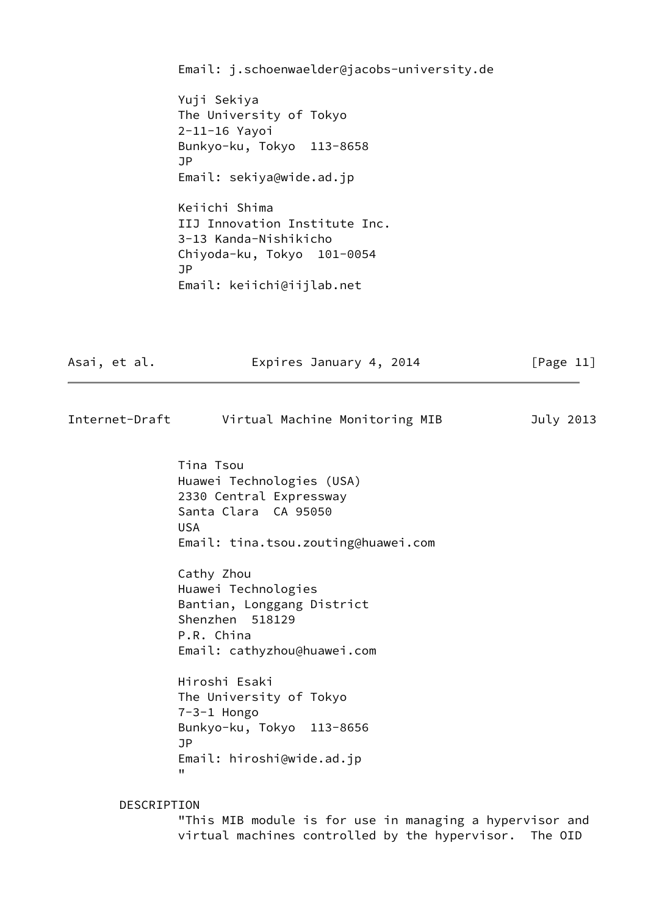Email: j.schoenwaelder@jacobs-university.de

 Yuji Sekiya The University of Tokyo 2-11-16 Yayoi Bunkyo-ku, Tokyo 113-8658 JP Email: sekiya@wide.ad.jp

 Keiichi Shima IIJ Innovation Institute Inc. 3-13 Kanda-Nishikicho Chiyoda-ku, Tokyo 101-0054 JP Email: keiichi@iijlab.net

| Asai, et al. | Expires January 4, 2014 | [Page 11] |
|--------------|-------------------------|-----------|
|              |                         |           |

Internet-Draft Virtual Machine Monitoring MIB July 2013

| Tina Tsou                           |
|-------------------------------------|
| Huawei Technologies (USA)           |
| 2330 Central Expressway             |
| Santa Clara CA 95050                |
| <b>USA</b>                          |
| Email: tina.tsou.zouting@huawei.com |
| Cathy Zhou                          |
| Huawei Technologies                 |
| Bantian, Longgang District          |
| Shenzhen 518129                     |
| P.R. China                          |
| Email: cathyzhou@huawei.com         |
| Hiroshi Esaki                       |
| The University of Tokyo             |
| $7-3-1$ Hongo                       |
| Bunkyo-ku, Tokyo 113-8656           |
| <b>JP</b>                           |
| Email: hiroshi@wide.ad.jp           |
| "                                   |

 "This MIB module is for use in managing a hypervisor and virtual machines controlled by the hypervisor. The OID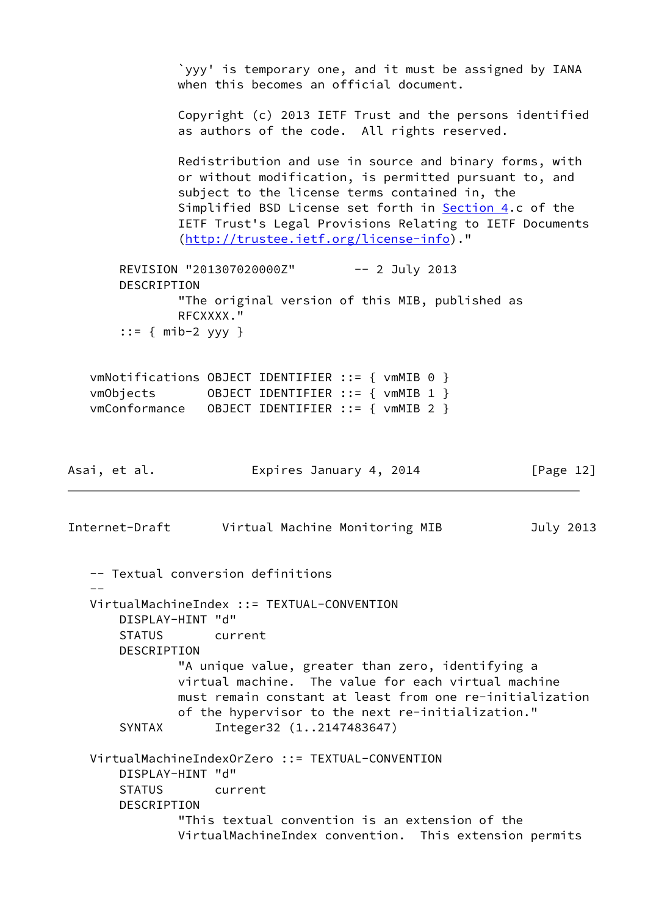`yyy' is temporary one, and it must be assigned by IANA when this becomes an official document. Copyright (c) 2013 IETF Trust and the persons identified as authors of the code. All rights reserved. Redistribution and use in source and binary forms, with or without modification, is permitted pursuant to, and subject to the license terms contained in, the Simplified BSD License set forth in **Section 4.c** of the IETF Trust's Legal Provisions Relating to IETF Documents [\(http://trustee.ietf.org/license-info](http://trustee.ietf.org/license-info))." REVISION "201307020000Z" -- 2 July 2013 DESCRIPTION "The original version of this MIB, published as RFCXXXX." ::=  $\{ \text{mib-2 yyy } \}$  vmNotifications OBJECT IDENTIFIER ::= { vmMIB 0 } vmObjects OBJECT IDENTIFIER ::= { vmMIB 1 } vmConformance OBJECT IDENTIFIER ::= { vmMIB 2 } Asai, et al. Expires January 4, 2014 [Page 12] Internet-Draft Virtual Machine Monitoring MIB July 2013 -- Textual conversion definitions  $-$  VirtualMachineIndex ::= TEXTUAL-CONVENTION DISPLAY-HINT "d" STATUS current DESCRIPTION "A unique value, greater than zero, identifying a virtual machine. The value for each virtual machine must remain constant at least from one re-initialization of the hypervisor to the next re-initialization." SYNTAX Integer32 (1..2147483647) VirtualMachineIndexOrZero ::= TEXTUAL-CONVENTION DISPLAY-HINT "d" STATUS current DESCRIPTION "This textual convention is an extension of the VirtualMachineIndex convention. This extension permits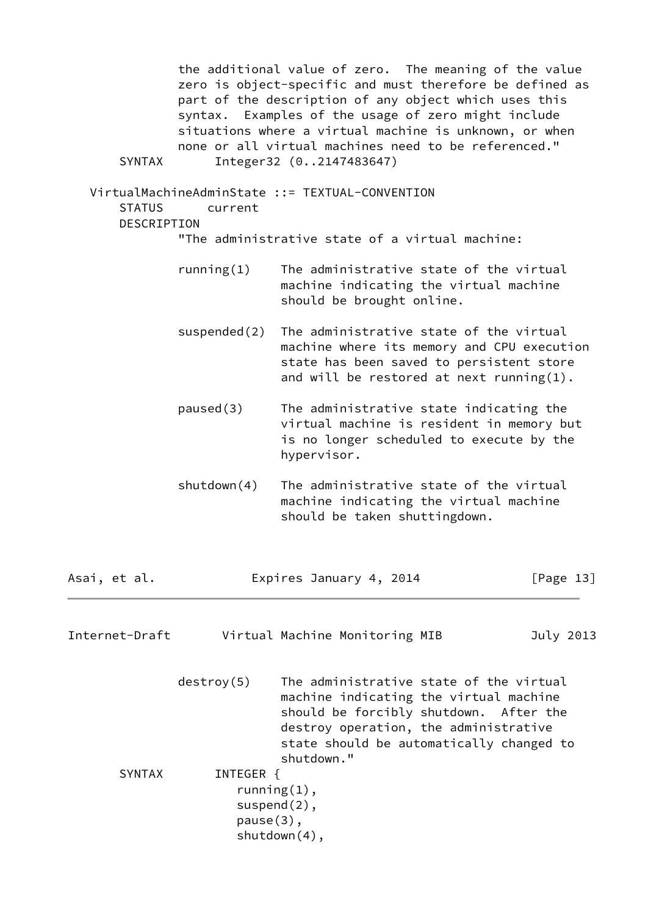| <b>SYNTAX</b>  |                                                   | the additional value of zero. The meaning of the value<br>zero is object-specific and must therefore be defined as<br>part of the description of any object which uses this<br>syntax. Examples of the usage of zero might include<br>situations where a virtual machine is unknown, or when<br>none or all virtual machines need to be referenced."<br>Integer32 (02147483647) |              |
|----------------|---------------------------------------------------|---------------------------------------------------------------------------------------------------------------------------------------------------------------------------------------------------------------------------------------------------------------------------------------------------------------------------------------------------------------------------------|--------------|
| <b>STATUS</b>  | current                                           | VirtualMachineAdminState ::= TEXTUAL-CONVENTION                                                                                                                                                                                                                                                                                                                                 |              |
| DESCRIPTION    |                                                   |                                                                                                                                                                                                                                                                                                                                                                                 |              |
|                |                                                   | "The administrative state of a virtual machine:                                                                                                                                                                                                                                                                                                                                 |              |
|                | running(1)                                        | The administrative state of the virtual<br>machine indicating the virtual machine<br>should be brought online.                                                                                                                                                                                                                                                                  |              |
|                | suspended(2)                                      | The administrative state of the virtual<br>machine where its memory and CPU execution<br>state has been saved to persistent store<br>and will be restored at next running $(1)$ .                                                                                                                                                                                               |              |
|                | $p$ aused $(3)$                                   | The administrative state indicating the<br>virtual machine is resident in memory but<br>is no longer scheduled to execute by the<br>hypervisor.                                                                                                                                                                                                                                 |              |
|                | shutdown(4)                                       | The administrative state of the virtual<br>machine indicating the virtual machine<br>should be taken shuttingdown.                                                                                                                                                                                                                                                              |              |
| Asai, et al.   |                                                   | Expires January 4, 2014                                                                                                                                                                                                                                                                                                                                                         | [Page $13$ ] |
| Internet-Draft |                                                   | Virtual Machine Monitoring MIB                                                                                                                                                                                                                                                                                                                                                  | July 2013    |
|                | destroy(5)                                        | The administrative state of the virtual<br>machine indicating the virtual machine<br>should be forcibly shutdown. After the<br>destroy operation, the administrative<br>state should be automatically changed to<br>shutdown."                                                                                                                                                  |              |
| <b>SYNTAX</b>  | INTEGER {                                         |                                                                                                                                                                                                                                                                                                                                                                                 |              |
|                | running $(1)$ ,<br>$suspend(2)$ ,<br>$pause(3)$ , | $shutdown(4)$ ,                                                                                                                                                                                                                                                                                                                                                                 |              |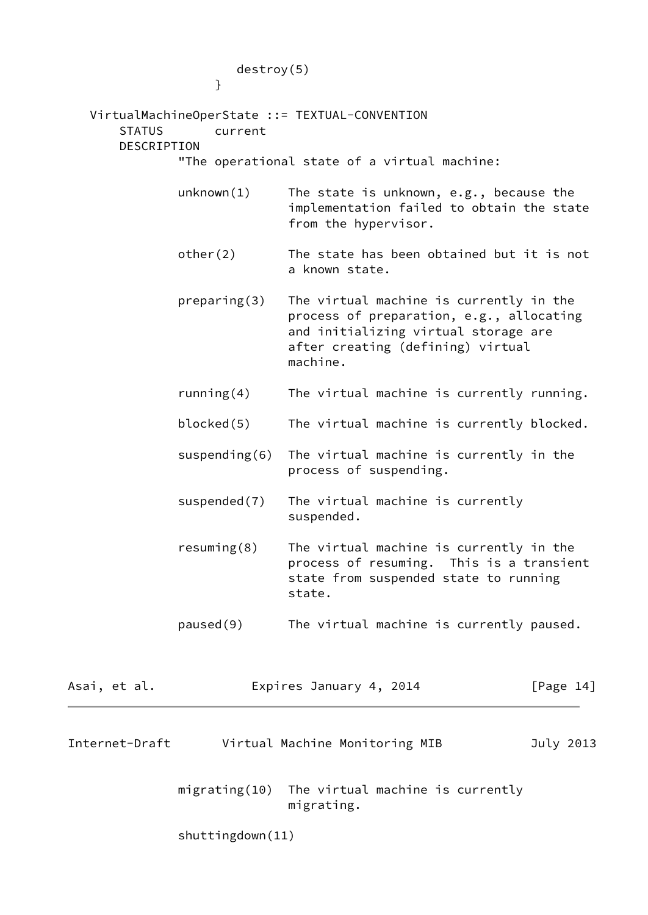|                              | destroy(5)<br>}  |                                                                                                                                                                              |              |
|------------------------------|------------------|------------------------------------------------------------------------------------------------------------------------------------------------------------------------------|--------------|
| <b>STATUS</b><br>DESCRIPTION | current          | VirtualMachineOperState ::= TEXTUAL-CONVENTION<br>"The operational state of a virtual machine:                                                                               |              |
|                              | unknown(1)       | The state is unknown, e.g., because the<br>implementation failed to obtain the state<br>from the hypervisor.                                                                 |              |
|                              | other(2)         | The state has been obtained but it is not<br>a known state.                                                                                                                  |              |
|                              | preparing(3)     | The virtual machine is currently in the<br>process of preparation, e.g., allocating<br>and initializing virtual storage are<br>after creating (defining) virtual<br>machine. |              |
|                              | running $(4)$    | The virtual machine is currently running.                                                                                                                                    |              |
|                              | blocked(5)       | The virtual machine is currently blocked.                                                                                                                                    |              |
|                              | suspending(6)    | The virtual machine is currently in the<br>process of suspending.                                                                                                            |              |
|                              | suspended(7)     | The virtual machine is currently<br>suspended.                                                                                                                               |              |
|                              | resuming(8)      | The virtual machine is currently in the<br>process of resuming. This is a transient<br>state from suspended state to running<br>state.                                       |              |
|                              | paused(9)        | The virtual machine is currently paused.                                                                                                                                     |              |
| Asai, et al.                 |                  | Expires January 4, 2014                                                                                                                                                      | [Page $14$ ] |
| Internet-Draft               |                  | Virtual Machine Monitoring MIB                                                                                                                                               | July 2013    |
|                              | migrating(10)    | The virtual machine is currently<br>migrating.                                                                                                                               |              |
|                              | shuttingdown(11) |                                                                                                                                                                              |              |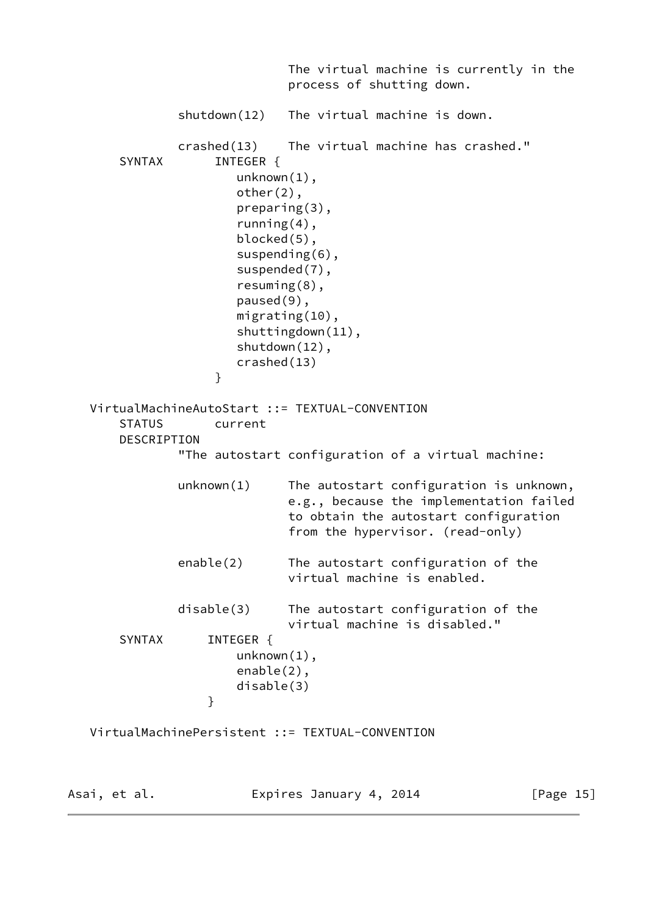```
 The virtual machine is currently in the
                              process of shutting down.
               shutdown(12) The virtual machine is down.
               crashed(13) The virtual machine has crashed."
      SYNTAX INTEGER {
                       unknown(1),
                       other(2),
                       preparing(3),
                      running(4),
                       blocked(5),
                       suspending(6),
                       suspended(7),
                       resuming(8),
                       paused(9),
                       migrating(10),
                       shuttingdown(11),
                       shutdown(12),
                       crashed(13)
 }
   VirtualMachineAutoStart ::= TEXTUAL-CONVENTION
       STATUS current
       DESCRIPTION
               "The autostart configuration of a virtual machine:
               unknown(1) The autostart configuration is unknown,
                              e.g., because the implementation failed
                              to obtain the autostart configuration
                              from the hypervisor. (read-only)
               enable(2) The autostart configuration of the
                              virtual machine is enabled.
               disable(3) The autostart configuration of the
                              virtual machine is disabled."
      SYNTAX INTEGER {
                       unknown(1),
                       enable(2),
                       disable(3)
 }
   VirtualMachinePersistent ::= TEXTUAL-CONVENTION
```

| Asai, et al. | Expires January 4, 2014 | [Page 15] |
|--------------|-------------------------|-----------|
|              |                         |           |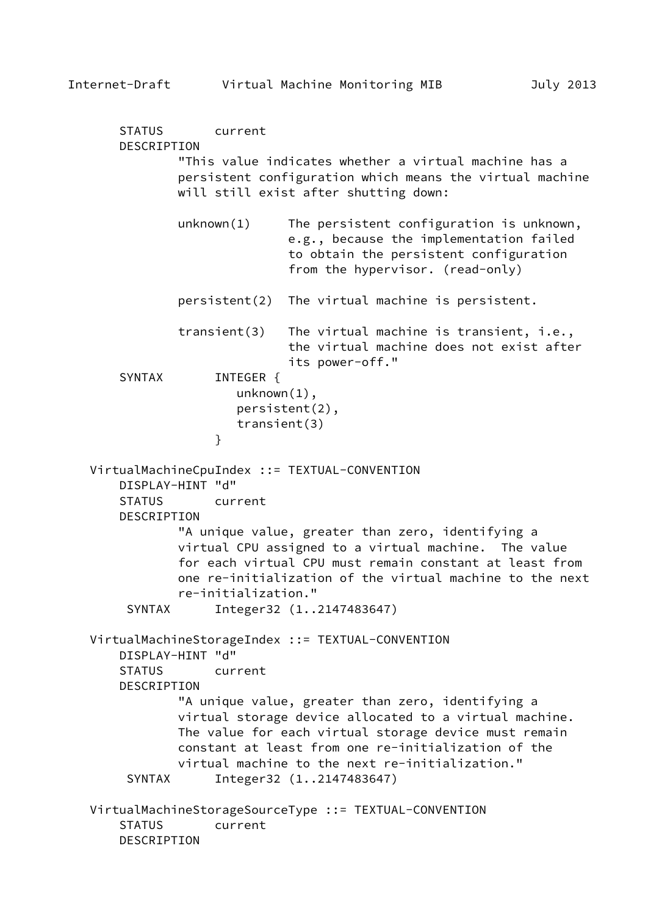```
Internet-Draft Virtual Machine Monitoring MIB July 2013
       STATUS current
       DESCRIPTION
               "This value indicates whether a virtual machine has a
               persistent configuration which means the virtual machine
               will still exist after shutting down:
               unknown(1) The persistent configuration is unknown,
                              e.g., because the implementation failed
                              to obtain the persistent configuration
                              from the hypervisor. (read-only)
               persistent(2) The virtual machine is persistent.
               transient(3) The virtual machine is transient, i.e.,
                              the virtual machine does not exist after
                              its power-off."
      SYNTAX INTEGER {
                       unknown(1),
                       persistent(2),
                       transient(3)
 }
   VirtualMachineCpuIndex ::= TEXTUAL-CONVENTION
       DISPLAY-HINT "d"
       STATUS current
       DESCRIPTION
               "A unique value, greater than zero, identifying a
               virtual CPU assigned to a virtual machine. The value
               for each virtual CPU must remain constant at least from
               one re-initialization of the virtual machine to the next
               re-initialization."
        SYNTAX Integer32 (1..2147483647)
   VirtualMachineStorageIndex ::= TEXTUAL-CONVENTION
       DISPLAY-HINT "d"
       STATUS current
       DESCRIPTION
                "A unique value, greater than zero, identifying a
               virtual storage device allocated to a virtual machine.
               The value for each virtual storage device must remain
               constant at least from one re-initialization of the
               virtual machine to the next re-initialization."
        SYNTAX Integer32 (1..2147483647)
   VirtualMachineStorageSourceType ::= TEXTUAL-CONVENTION
       STATUS current
       DESCRIPTION
```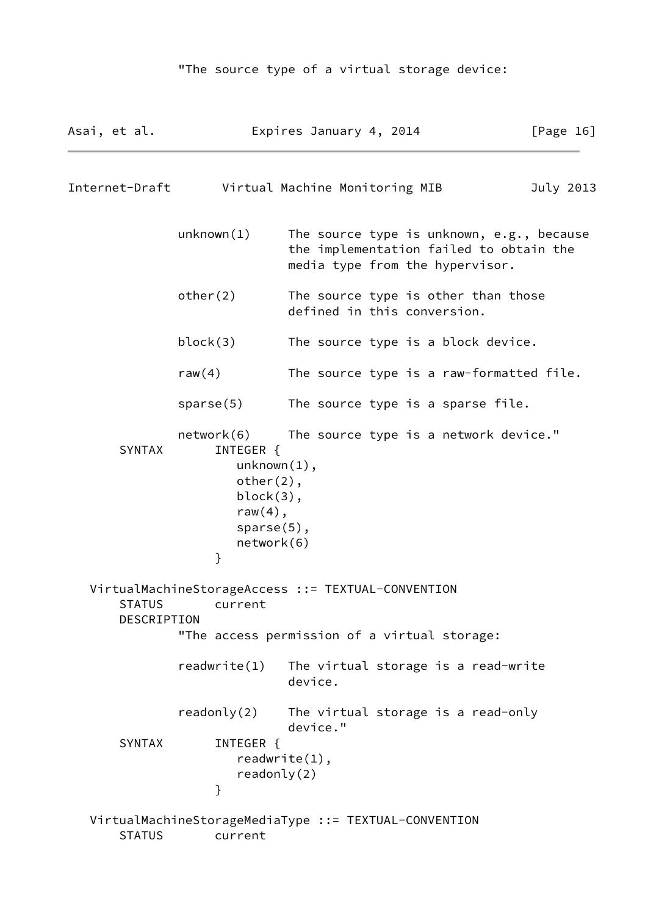# "The source type of a virtual storage device:

| Asai, et al.                 |                                                                                                                           | Expires January 4, 2014                                                                                                 | [Page $16$ ] |
|------------------------------|---------------------------------------------------------------------------------------------------------------------------|-------------------------------------------------------------------------------------------------------------------------|--------------|
| Internet-Draft               |                                                                                                                           | Virtual Machine Monitoring MIB                                                                                          | July 2013    |
|                              | unknown(1)                                                                                                                | The source type is unknown, e.g., because<br>the implementation failed to obtain the<br>media type from the hypervisor. |              |
|                              | other(2)                                                                                                                  | The source type is other than those<br>defined in this conversion.                                                      |              |
|                              | block(3)                                                                                                                  | The source type is a block device.                                                                                      |              |
|                              | raw $(4)$                                                                                                                 | The source type is a raw-formatted file.                                                                                |              |
|                              | sparse(5)                                                                                                                 | The source type is a sparse file.                                                                                       |              |
| <b>SYNTAX</b>                | network(6)<br>INTEGER {<br>$unknown(1)$ ,<br>$other(2)$ ,<br>block(3),<br>raw $(4)$ ,<br>$sparse(5)$ ,<br>network(6)<br>} | The source type is a network device."                                                                                   |              |
| <b>STATUS</b><br>DESCRIPTION | current                                                                                                                   | VirtualMachineStorageAccess ::= TEXTUAL-CONVENTION<br>"The access permission of a virtual storage:                      |              |
|                              | readwrite(1)                                                                                                              | The virtual storage is a read-write<br>device.                                                                          |              |
|                              | readonly(2)                                                                                                               | The virtual storage is a read-only<br>device."                                                                          |              |
| <b>SYNTAX</b>                | INTEGER {<br>readonly(2)<br>}                                                                                             | $readwrite(1)$ ,                                                                                                        |              |
| <b>STATUS</b>                | current                                                                                                                   | VirtualMachineStorageMediaType ::= TEXTUAL-CONVENTION                                                                   |              |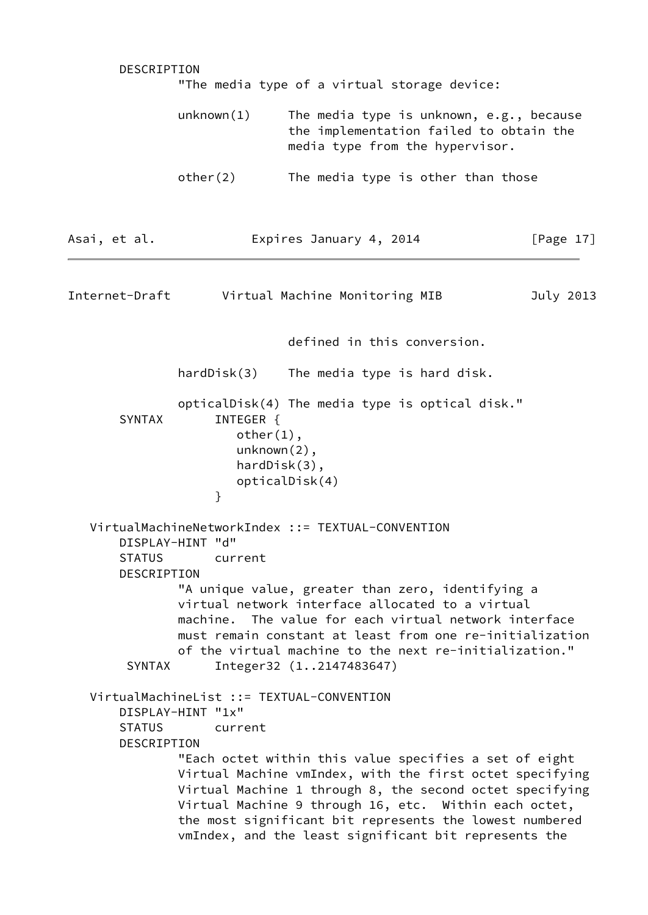DESCRIPTION "The media type of a virtual storage device: unknown(1) The media type is unknown, e.g., because the implementation failed to obtain the media type from the hypervisor. other(2) The media type is other than those Asai, et al. Expires January 4, 2014 [Page 17] Internet-Draft Virtual Machine Monitoring MIB July 2013 defined in this conversion. hardDisk(3) The media type is hard disk. opticalDisk(4) The media type is optical disk." SYNTAX INTEGER { other(1), unknown(2), hardDisk(3), opticalDisk(4) } VirtualMachineNetworkIndex ::= TEXTUAL-CONVENTION DISPLAY-HINT "d" STATUS current DESCRIPTION "A unique value, greater than zero, identifying a virtual network interface allocated to a virtual machine. The value for each virtual network interface must remain constant at least from one re-initialization of the virtual machine to the next re-initialization." SYNTAX Integer32 (1..2147483647) VirtualMachineList ::= TEXTUAL-CONVENTION DISPLAY-HINT "1x" STATUS current DESCRIPTION "Each octet within this value specifies a set of eight Virtual Machine vmIndex, with the first octet specifying Virtual Machine 1 through 8, the second octet specifying Virtual Machine 9 through 16, etc. Within each octet, the most significant bit represents the lowest numbered vmIndex, and the least significant bit represents the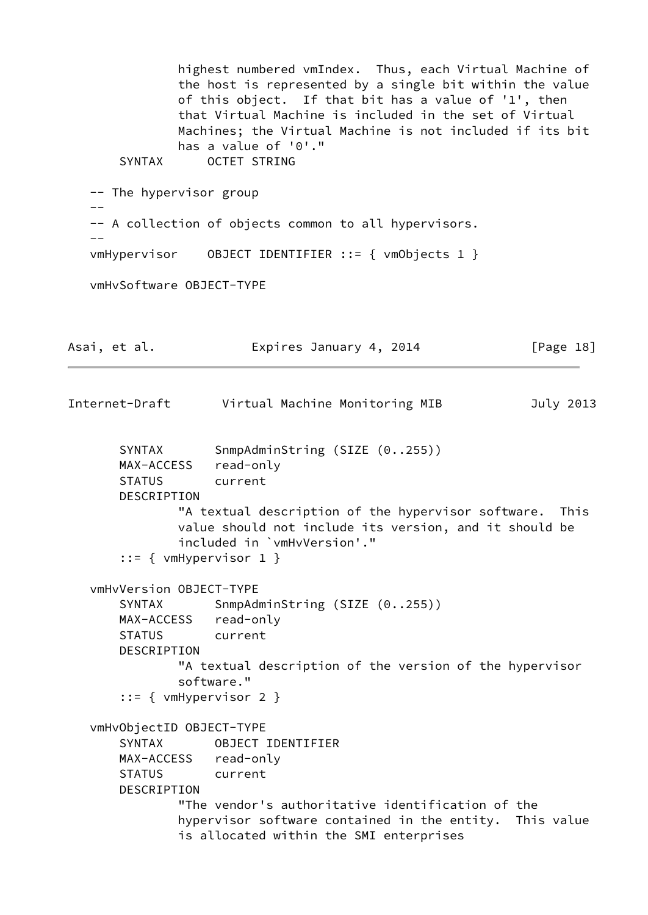highest numbered vmIndex. Thus, each Virtual Machine of the host is represented by a single bit within the value of this object. If that bit has a value of '1', then that Virtual Machine is included in the set of Virtual Machines; the Virtual Machine is not included if its bit has a value of '0'." SYNTAX OCTET STRING -- The hypervisor group -- -- A collection of objects common to all hypervisors. - vmHypervisor OBJECT IDENTIFIER ::= { vmObjects 1 } vmHvSoftware OBJECT-TYPE Asai, et al. **Expires January 4, 2014** [Page 18] Internet-Draft Virtual Machine Monitoring MIB July 2013 SYNTAX SnmpAdminString (SIZE (0..255)) MAX-ACCESS read-only STATUS current DESCRIPTION "A textual description of the hypervisor software. This value should not include its version, and it should be included in `vmHvVersion'." ::= { vmHypervisor 1 } vmHvVersion OBJECT-TYPE SYNTAX SnmpAdminString (SIZE (0..255)) MAX-ACCESS read-only STATUS current DESCRIPTION "A textual description of the version of the hypervisor software." ::= { vmHypervisor 2 } vmHvObjectID OBJECT-TYPE SYNTAX OBJECT IDENTIFIER MAX-ACCESS read-only STATUS current DESCRIPTION "The vendor's authoritative identification of the hypervisor software contained in the entity. This value is allocated within the SMI enterprises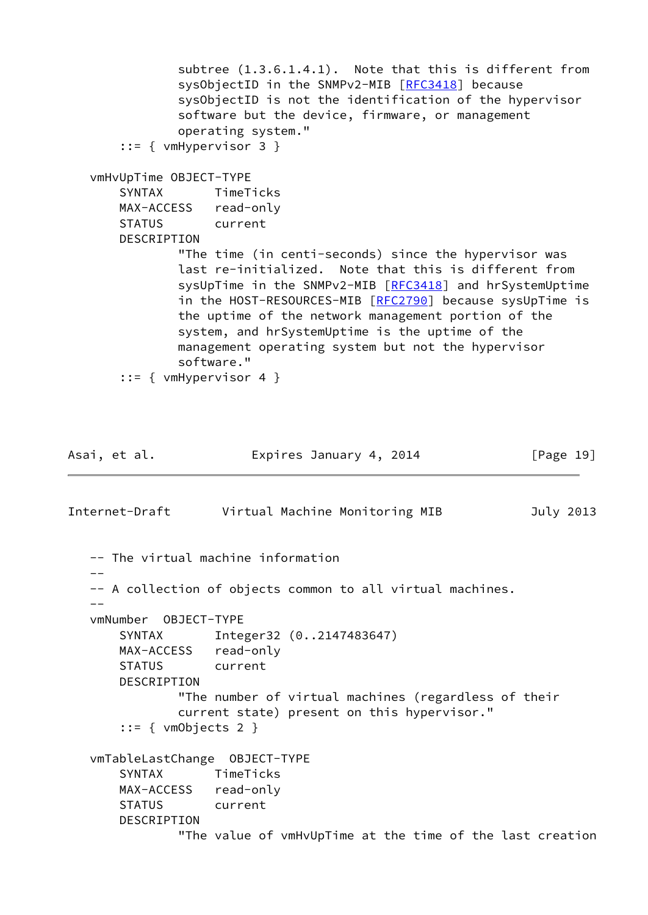```
 subtree (1.3.6.1.4.1). Note that this is different from
             RFC3418] because
              sysObjectID is not the identification of the hypervisor
              software but the device, firmware, or management
              operating system."
       ::= { vmHypervisor 3 }
   vmHvUpTime OBJECT-TYPE
       SYNTAX TimeTicks
       MAX-ACCESS read-only
       STATUS current
       DESCRIPTION
              "The time (in centi-seconds) since the hypervisor was
              last re-initialized. Note that this is different from
             [RFC3418] and hrSystemUptime
             RFC2790] because sysUpTime is
              the uptime of the network management portion of the
              system, and hrSystemUptime is the uptime of the
              management operating system but not the hypervisor
              software."
       ::= { vmHypervisor 4 }
Asai, et al. Expires January 4, 2014 [Page 19]
Internet-Draft Virtual Machine Monitoring MIB July 2013
   -- The virtual machine information
 --
   -- A collection of objects common to all virtual machines.
   --
   vmNumber OBJECT-TYPE
       SYNTAX Integer32 (0..2147483647)
       MAX-ACCESS read-only
       STATUS current
       DESCRIPTION
              "The number of virtual machines (regardless of their
              current state) present on this hypervisor."
       ::= { vmObjects 2 }
   vmTableLastChange OBJECT-TYPE
       SYNTAX TimeTicks
       MAX-ACCESS read-only
       STATUS current
       DESCRIPTION
               "The value of vmHvUpTime at the time of the last creation
```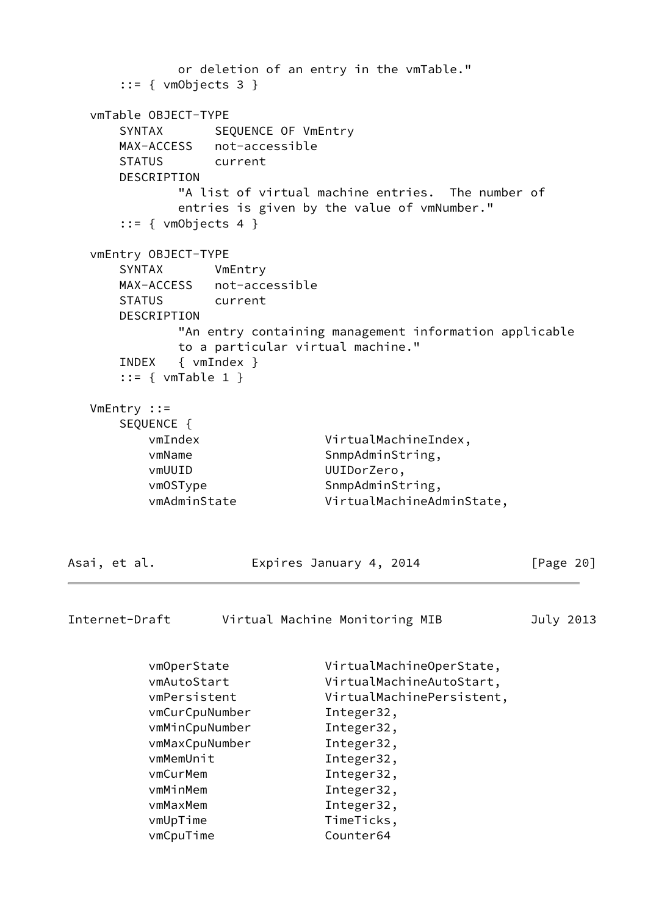```
 or deletion of an entry in the vmTable."
      ::= { vmObjects 3 }
   vmTable OBJECT-TYPE
     SYNTAX SEQUENCE OF VmEntry
      MAX-ACCESS not-accessible
      STATUS current
      DESCRIPTION
             "A list of virtual machine entries. The number of
             entries is given by the value of vmNumber."
     ::= { vmObjects 4 }
   vmEntry OBJECT-TYPE
      SYNTAX VmEntry
      MAX-ACCESS not-accessible
      STATUS current
      DESCRIPTION
             "An entry containing management information applicable
             to a particular virtual machine."
      INDEX { vmIndex }
     ::= { vmTable 1 }
   VmEntry ::=
      SEQUENCE {
        vmIndex VirtualMachineIndex,
        vmName SnmpAdminString,
        vmUUID UUIDorZero,
        vmOSType SnmpAdminString,
         vmAdminState VirtualMachineAdminState,
Asai, et al. Expires January 4, 2014 [Page 20]
Internet-Draft Virtual Machine Monitoring MIB July 2013
          vmOperState VirtualMachineOperState,
          vmAutoStart VirtualMachineAutoStart,
          vmPersistent VirtualMachinePersistent,
         vmCurCpuNumber Integer32,
        vmMinCpuNumber Integer32,
         vmMaxCpuNumber Integer32,
        vmMemUnit Integer32,
        vmCurMem Integer32,
        vmMinMem Integer32,
         vmMaxMem Integer32,
         vmUpTime TimeTicks,
          vmCpuTime Counter64
```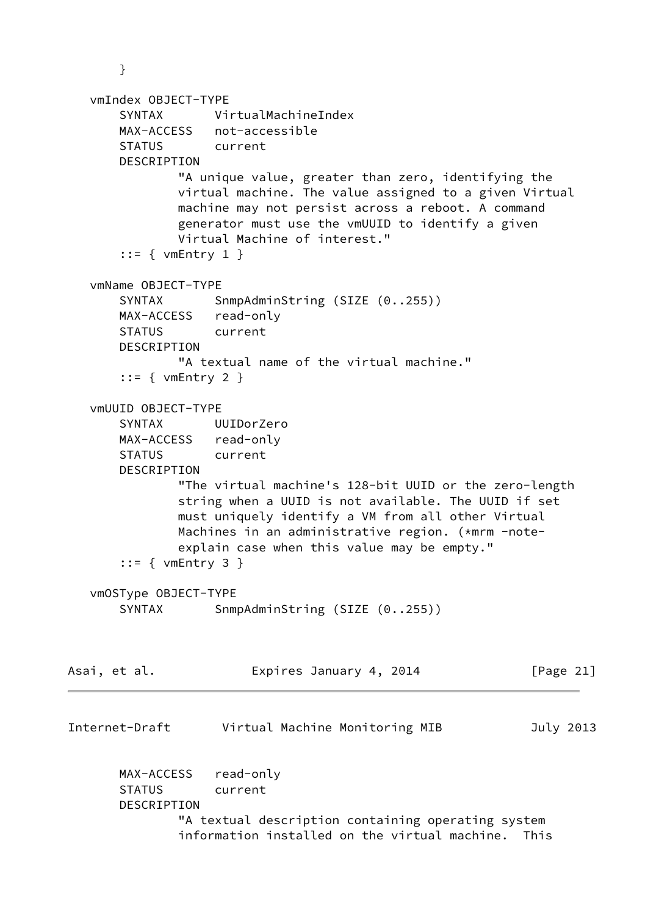```
 vmIndex OBJECT-TYPE
       SYNTAX VirtualMachineIndex
       MAX-ACCESS not-accessible
       STATUS current
       DESCRIPTION
                "A unique value, greater than zero, identifying the
               virtual machine. The value assigned to a given Virtual
               machine may not persist across a reboot. A command
               generator must use the vmUUID to identify a given
               Virtual Machine of interest."
       ::= { vmEntry 1 }
   vmName OBJECT-TYPE
      SYNTAX SnmpAdminString (SIZE (0..255))
       MAX-ACCESS read-only
       STATUS current
       DESCRIPTION
               "A textual name of the virtual machine."
       ::= { vmEntry 2 }
   vmUUID OBJECT-TYPE
       SYNTAX UUIDorZero
       MAX-ACCESS read-only
       STATUS current
       DESCRIPTION
               "The virtual machine's 128-bit UUID or the zero-length
               string when a UUID is not available. The UUID if set
               must uniquely identify a VM from all other Virtual
               Machines in an administrative region. (*mrm -note-
               explain case when this value may be empty."
        ::= { vmEntry 3 }
   vmOSType OBJECT-TYPE
      SYNTAX SnmpAdminString (SIZE (0..255))
Asai, et al.                   Expires January 4, 2014               [Page 21]
Internet-Draft Virtual Machine Monitoring MIB July 2013
       MAX-ACCESS read-only
       STATUS current
       DESCRIPTION
               "A textual description containing operating system
               information installed on the virtual machine. This
```
}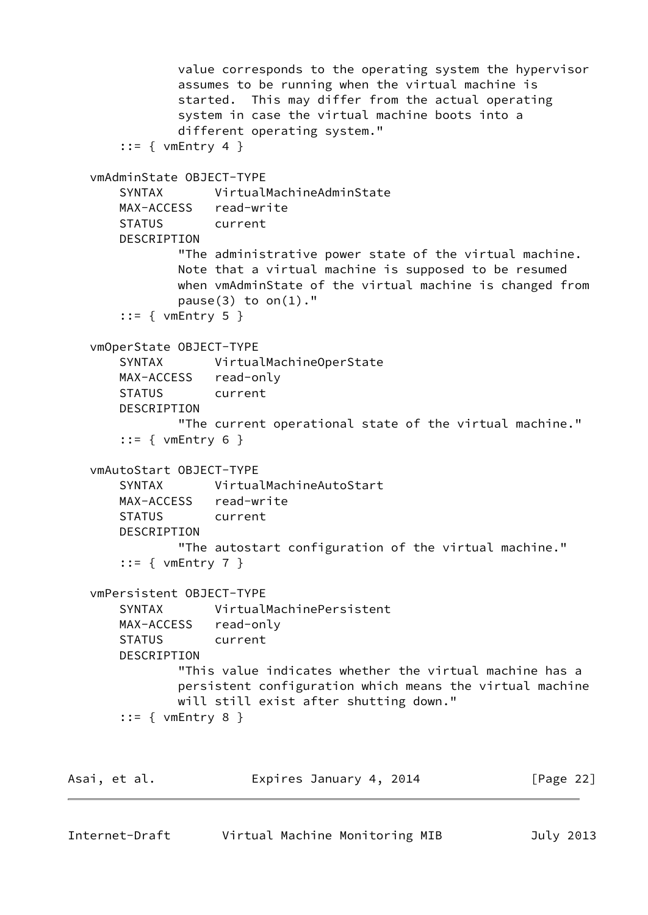```
 value corresponds to the operating system the hypervisor
                assumes to be running when the virtual machine is
                started. This may differ from the actual operating
                system in case the virtual machine boots into a
                different operating system."
       ::= { vmEntry 4 }
    vmAdminState OBJECT-TYPE
        SYNTAX VirtualMachineAdminState
        MAX-ACCESS read-write
        STATUS current
        DESCRIPTION
                "The administrative power state of the virtual machine.
                Note that a virtual machine is supposed to be resumed
                when vmAdminState of the virtual machine is changed from
               pause(3) to on(1)."
       ::= { vmEntry 5 }
    vmOperState OBJECT-TYPE
        SYNTAX VirtualMachineOperState
        MAX-ACCESS read-only
        STATUS current
        DESCRIPTION
                "The current operational state of the virtual machine."
        ::= { vmEntry 6 }
    vmAutoStart OBJECT-TYPE
        SYNTAX VirtualMachineAutoStart
        MAX-ACCESS read-write
        STATUS current
        DESCRIPTION
                "The autostart configuration of the virtual machine."
       ::= { vmEntry 7 }
    vmPersistent OBJECT-TYPE
        SYNTAX VirtualMachinePersistent
        MAX-ACCESS read-only
        STATUS current
        DESCRIPTION
                "This value indicates whether the virtual machine has a
                persistent configuration which means the virtual machine
                will still exist after shutting down."
       ::= { vmEntry 8 }
Asai, et al.                   Expires January 4, 2014               [Page 22]
```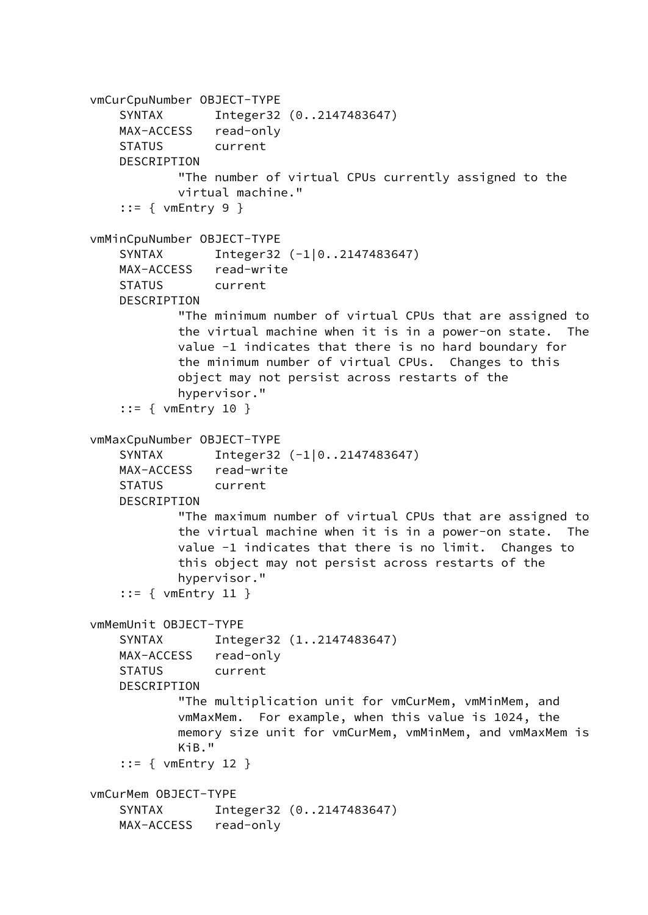```
 vmCurCpuNumber OBJECT-TYPE
    SYNTAX Integer32 (0..2147483647)
    MAX-ACCESS read-only
    STATUS current
    DESCRIPTION
             "The number of virtual CPUs currently assigned to the
            virtual machine."
     ::= { vmEntry 9 }
 vmMinCpuNumber OBJECT-TYPE
   SYNTAX Integer32 (-1|0..2147483647)
    MAX-ACCESS read-write
    STATUS current
    DESCRIPTION
             "The minimum number of virtual CPUs that are assigned to
            the virtual machine when it is in a power-on state. The
            value -1 indicates that there is no hard boundary for
            the minimum number of virtual CPUs. Changes to this
            object may not persist across restarts of the
            hypervisor."
     ::= { vmEntry 10 }
 vmMaxCpuNumber OBJECT-TYPE
   SYNTAX Integer32 (-1|0..2147483647)
    MAX-ACCESS read-write
    STATUS current
    DESCRIPTION
             "The maximum number of virtual CPUs that are assigned to
             the virtual machine when it is in a power-on state. The
            value -1 indicates that there is no limit. Changes to
            this object may not persist across restarts of the
            hypervisor."
     ::= { vmEntry 11 }
 vmMemUnit OBJECT-TYPE
    SYNTAX Integer32 (1..2147483647)
    MAX-ACCESS read-only
    STATUS current
    DESCRIPTION
             "The multiplication unit for vmCurMem, vmMinMem, and
            vmMaxMem. For example, when this value is 1024, the
            memory size unit for vmCurMem, vmMinMem, and vmMaxMem is
            KiB."
     ::= { vmEntry 12 }
 vmCurMem OBJECT-TYPE
    SYNTAX Integer32 (0..2147483647)
    MAX-ACCESS read-only
```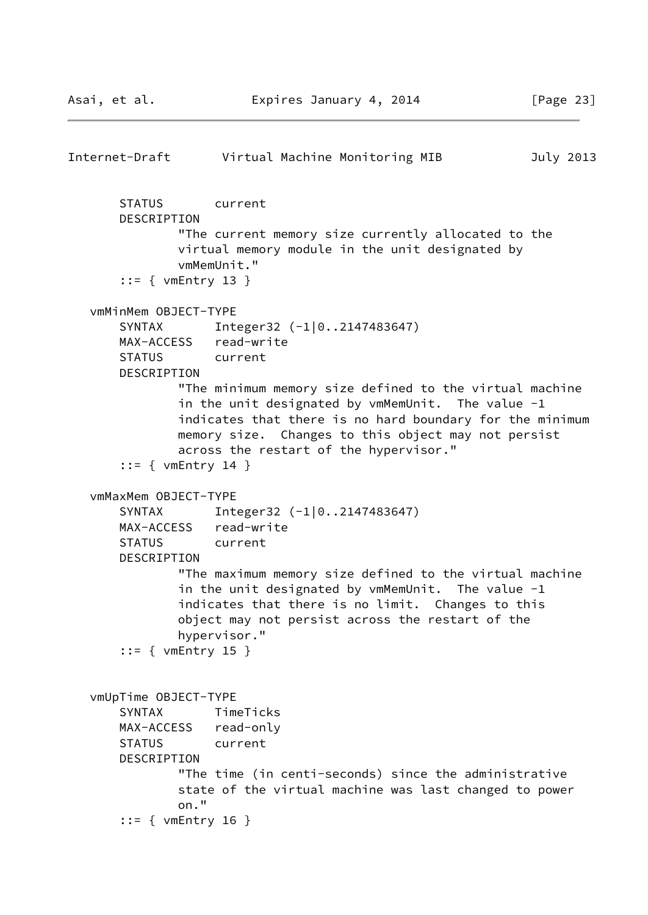```
Internet-Draft Virtual Machine Monitoring MIB July 2013
       STATUS current
       DESCRIPTION
               "The current memory size currently allocated to the
               virtual memory module in the unit designated by
               vmMemUnit."
        ::= { vmEntry 13 }
   vmMinMem OBJECT-TYPE
      SYNTAX Integer32 (-1|0..2147483647)
       MAX-ACCESS read-write
       STATUS current
       DESCRIPTION
               "The minimum memory size defined to the virtual machine
              in the unit designated by vmMemUnit. The value -1 indicates that there is no hard boundary for the minimum
               memory size. Changes to this object may not persist
               across the restart of the hypervisor."
        ::= { vmEntry 14 }
   vmMaxMem OBJECT-TYPE
      SYNTAX Integer32 (-1|0..2147483647)
       MAX-ACCESS read-write
       STATUS current
       DESCRIPTION
               "The maximum memory size defined to the virtual machine
              in the unit designated by vmMemUnit. The value -1 indicates that there is no limit. Changes to this
               object may not persist across the restart of the
               hypervisor."
        ::= { vmEntry 15 }
    vmUpTime OBJECT-TYPE
       SYNTAX TimeTicks
       MAX-ACCESS read-only
       STATUS current
       DESCRIPTION
               "The time (in centi-seconds) since the administrative
               state of the virtual machine was last changed to power
               on."
        ::= { vmEntry 16 }
```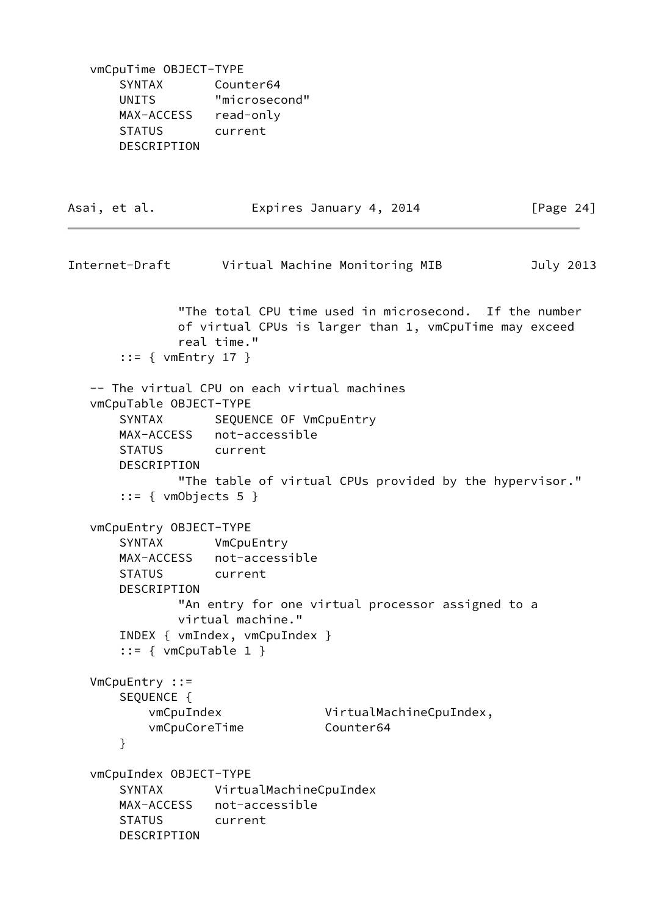vmCpuTime OBJECT-TYPE SYNTAX Counter64 UNITS "microsecond" MAX-ACCESS read-only STATUS current DESCRIPTION

```
Asai, et al. Expires January 4, 2014 [Page 24]
Internet-Draft Virtual Machine Monitoring MIB July 2013
               "The total CPU time used in microsecond. If the number
               of virtual CPUs is larger than 1, vmCpuTime may exceed
               real time."
        ::= { vmEntry 17 }
    -- The virtual CPU on each virtual machines
   vmCpuTable OBJECT-TYPE
       SYNTAX SEQUENCE OF VmCpuEntry
       MAX-ACCESS not-accessible
       STATUS current
       DESCRIPTION
               "The table of virtual CPUs provided by the hypervisor."
       ::= { vmObjects 5 }
   vmCpuEntry OBJECT-TYPE
       SYNTAX VmCpuEntry
       MAX-ACCESS not-accessible
       STATUS current
       DESCRIPTION
               "An entry for one virtual processor assigned to a
               virtual machine."
       INDEX { vmIndex, vmCpuIndex }
       ::= { vmCpuTable 1 }
   VmCpuEntry ::=
       SEQUENCE {
                              VirtualMachineCpuIndex,<br>Counter64
          vmCpuIndex<br>vmCpuCoreTime
       }
   vmCpuIndex OBJECT-TYPE
       SYNTAX VirtualMachineCpuIndex
       MAX-ACCESS not-accessible
       STATUS current
       DESCRIPTION
```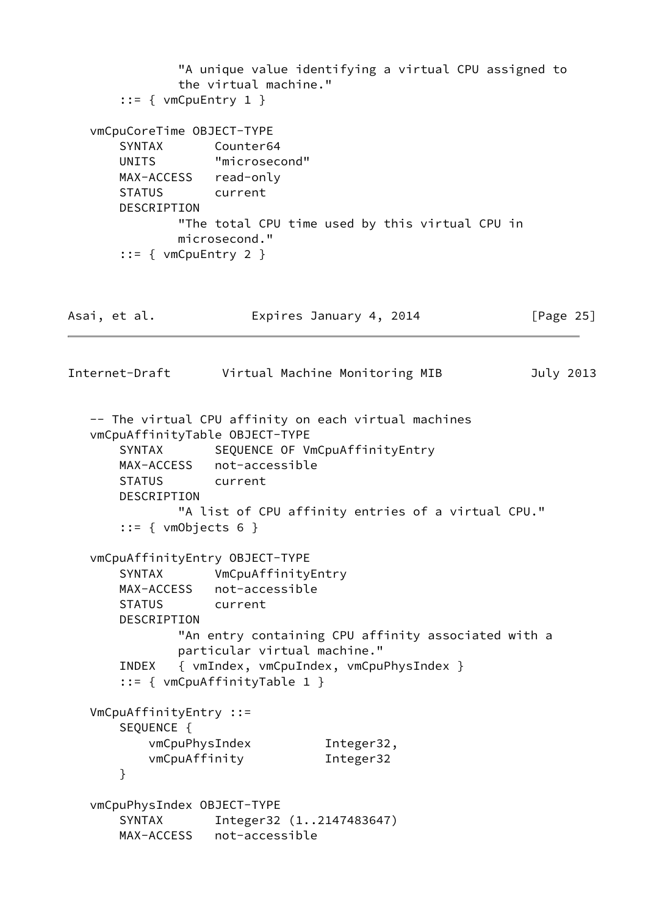```
 "A unique value identifying a virtual CPU assigned to
              the virtual machine."
      ::= { vmCpuEntry 1 }
   vmCpuCoreTime OBJECT-TYPE
       SYNTAX Counter64
       UNITS "microsecond"
       MAX-ACCESS read-only
       STATUS current
       DESCRIPTION
              "The total CPU time used by this virtual CPU in
              microsecond."
       ::= { vmCpuEntry 2 }
Asai, et al. Expires January 4, 2014 [Page 25]
Internet-Draft Virtual Machine Monitoring MIB July 2013
   -- The virtual CPU affinity on each virtual machines
   vmCpuAffinityTable OBJECT-TYPE
       SYNTAX SEQUENCE OF VmCpuAffinityEntry
       MAX-ACCESS not-accessible
       STATUS current
       DESCRIPTION
              "A list of CPU affinity entries of a virtual CPU."
      ::= { vmObjects 6 }
   vmCpuAffinityEntry OBJECT-TYPE
       SYNTAX VmCpuAffinityEntry
       MAX-ACCESS not-accessible
       STATUS current
       DESCRIPTION
              "An entry containing CPU affinity associated with a
              particular virtual machine."
       INDEX { vmIndex, vmCpuIndex, vmCpuPhysIndex }
       ::= { vmCpuAffinityTable 1 }
   VmCpuAffinityEntry ::=
       SEQUENCE {
 vmCpuPhysIndex Integer32,
 vmCpuAffinity Integer32
       }
   vmCpuPhysIndex OBJECT-TYPE
       SYNTAX Integer32 (1..2147483647)
       MAX-ACCESS not-accessible
```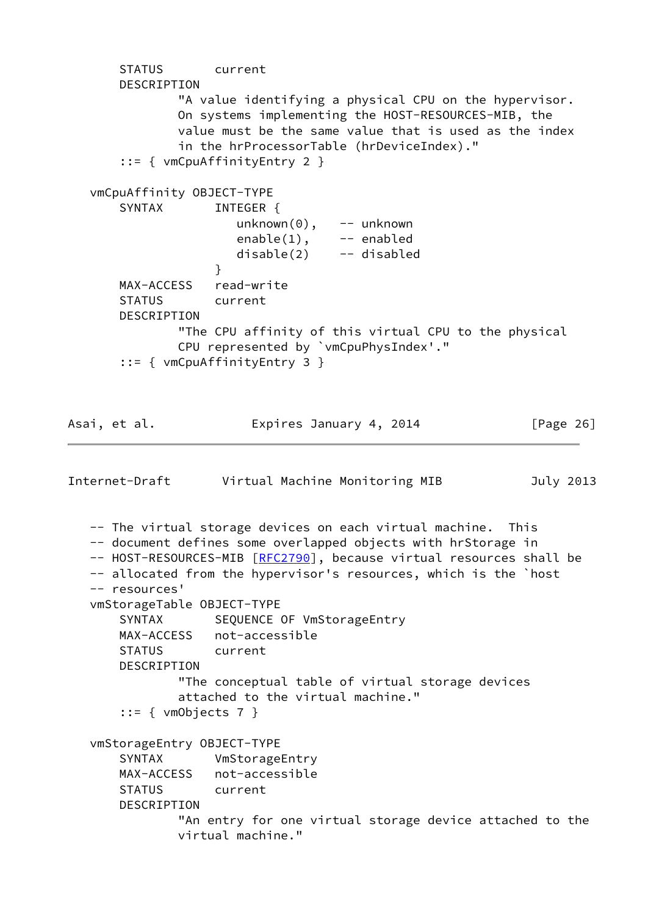```
 STATUS current
       DESCRIPTION
               "A value identifying a physical CPU on the hypervisor.
               On systems implementing the HOST-RESOURCES-MIB, the
               value must be the same value that is used as the index
               in the hrProcessorTable (hrDeviceIndex)."
       ::= { vmCpuAffinityEntry 2 }
   vmCpuAffinity OBJECT-TYPE
      SYNTAX INTEGER {
 unknown(0), -- unknown
 enable(1), -- enabled
                      disable(2) -- disabled
 }
       MAX-ACCESS read-write
       STATUS current
       DESCRIPTION
               "The CPU affinity of this virtual CPU to the physical
               CPU represented by `vmCpuPhysIndex'."
       ::= { vmCpuAffinityEntry 3 }
Asai, et al.                     Expires January 4, 2014                 [Page 26]
Internet-Draft Virtual Machine Monitoring MIB July 2013
   -- The virtual storage devices on each virtual machine. This
   -- document defines some overlapped objects with hrStorage in
  RFC2790], because virtual resources shall be
   -- allocated from the hypervisor's resources, which is the `host
   -- resources'
   vmStorageTable OBJECT-TYPE
      SYNTAX SEQUENCE OF VmStorageEntry
       MAX-ACCESS not-accessible
       STATUS current
       DESCRIPTION
               "The conceptual table of virtual storage devices
               attached to the virtual machine."
       ::= { vmObjects 7 }
   vmStorageEntry OBJECT-TYPE
       SYNTAX VmStorageEntry
       MAX-ACCESS not-accessible
       STATUS current
       DESCRIPTION
               "An entry for one virtual storage device attached to the
               virtual machine."
```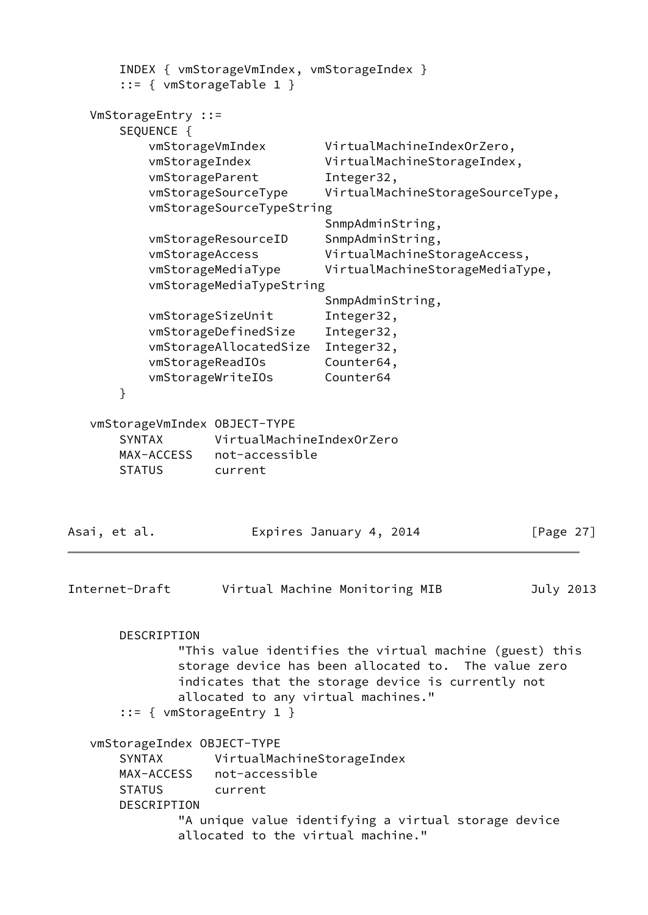|                                              |                | $::= \{$ vmStorageTable 1 }                                                            |                                                                                                                                                                                                              |              |
|----------------------------------------------|----------------|----------------------------------------------------------------------------------------|--------------------------------------------------------------------------------------------------------------------------------------------------------------------------------------------------------------|--------------|
| VmStorageEntry ::=                           |                |                                                                                        |                                                                                                                                                                                                              |              |
| SEQUENCE {                                   |                |                                                                                        |                                                                                                                                                                                                              |              |
|                                              |                | vmStorageVmIndex                                                                       | VirtualMachineIndexOrZero,                                                                                                                                                                                   |              |
|                                              | vmStorageIndex |                                                                                        | VirtualMachineStorageIndex,                                                                                                                                                                                  |              |
|                                              |                | vmStorageParent                                                                        | Integer32,                                                                                                                                                                                                   |              |
|                                              |                | vmStorageSourceType                                                                    | VirtualMachineStorageSourceType,                                                                                                                                                                             |              |
|                                              |                | vmStorageSourceTypeString                                                              |                                                                                                                                                                                                              |              |
|                                              |                |                                                                                        | SnmpAdminString,                                                                                                                                                                                             |              |
|                                              |                | vmStorageResourceID                                                                    | SnmpAdminString,                                                                                                                                                                                             |              |
|                                              |                | vmStorageAccess                                                                        | VirtualMachineStorageAccess,                                                                                                                                                                                 |              |
|                                              |                | vmStorageMediaType                                                                     | VirtualMachineStorageMediaType,                                                                                                                                                                              |              |
|                                              |                | vmStorageMediaTypeString                                                               |                                                                                                                                                                                                              |              |
|                                              |                |                                                                                        | SnmpAdminString,                                                                                                                                                                                             |              |
|                                              |                | vmStorageSizeUnit                                                                      | Integer32,                                                                                                                                                                                                   |              |
|                                              |                | vmStorageDefinedSize                                                                   | Integer32,                                                                                                                                                                                                   |              |
|                                              |                | vmStorageAllocatedSize                                                                 | Integer32,                                                                                                                                                                                                   |              |
|                                              |                | vmStorageReadIOs                                                                       | Counter64,                                                                                                                                                                                                   |              |
|                                              |                | vmStorageWriteIOs                                                                      | Counter64                                                                                                                                                                                                    |              |
| }                                            |                |                                                                                        |                                                                                                                                                                                                              |              |
| <b>SYNTAX</b><br>MAX-ACCESS<br><b>STATUS</b> |                | vmStorageVmIndex OBJECT-TYPE<br>VirtualMachineIndexOrZero<br>not-accessible<br>current |                                                                                                                                                                                                              |              |
| Asai, et al.                                 |                |                                                                                        | Expires January 4, 2014                                                                                                                                                                                      | [Page $27$ ] |
| Internet-Draft                               |                |                                                                                        | Virtual Machine Monitoring MIB                                                                                                                                                                               | July 2013    |
| DESCRIPTION                                  |                | $::= \{$ vmStorageEntry 1 }                                                            | "This value identifies the virtual machine (guest) this<br>storage device has been allocated to. The value zero<br>indicates that the storage device is currently not<br>allocated to any virtual machines." |              |
|                                              |                |                                                                                        |                                                                                                                                                                                                              |              |
|                                              |                | vmStorageIndex OBJECT-TYPE                                                             |                                                                                                                                                                                                              |              |
| <b>SYNTAX</b>                                |                | VirtualMachineStorageIndex                                                             |                                                                                                                                                                                                              |              |
|                                              |                | MAX-ACCESS not-accessible                                                              |                                                                                                                                                                                                              |              |
| <b>STATUS</b>                                |                | current                                                                                |                                                                                                                                                                                                              |              |
| DESCRIPTION                                  |                |                                                                                        |                                                                                                                                                                                                              |              |
|                                              |                |                                                                                        | "A unique value identifying a virtual storage device<br>allocated to the virtual machine."                                                                                                                   |              |
|                                              |                |                                                                                        |                                                                                                                                                                                                              |              |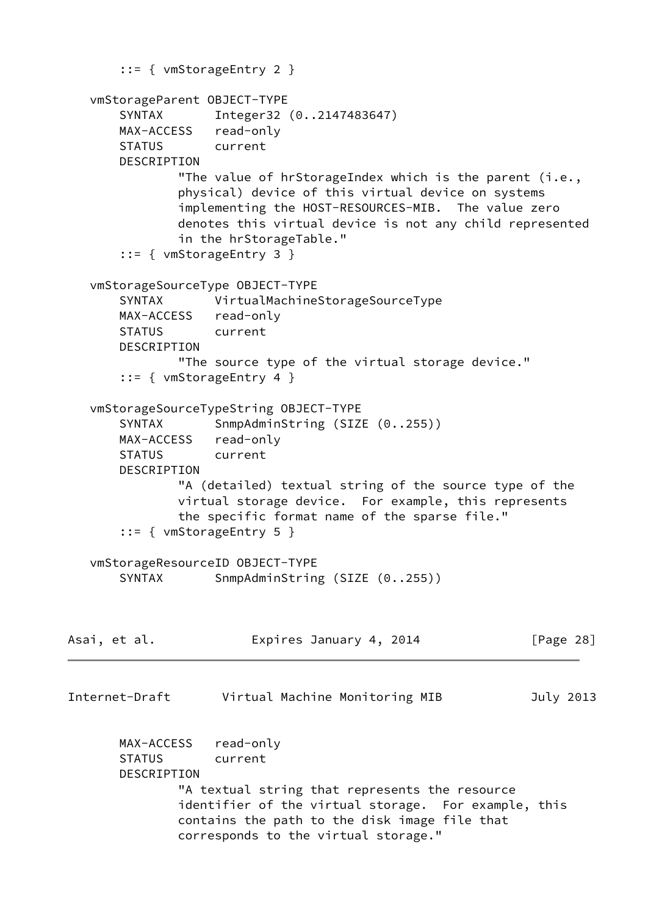```
 ::= { vmStorageEntry 2 }
   vmStorageParent OBJECT-TYPE
       SYNTAX Integer32 (0..2147483647)
       MAX-ACCESS read-only
       STATUS current
       DESCRIPTION
              "The value of hrStorageIndex which is the parent (i.e.,
               physical) device of this virtual device on systems
               implementing the HOST-RESOURCES-MIB. The value zero
               denotes this virtual device is not any child represented
               in the hrStorageTable."
       ::= { vmStorageEntry 3 }
   vmStorageSourceType OBJECT-TYPE
       SYNTAX VirtualMachineStorageSourceType
       MAX-ACCESS read-only
       STATUS current
       DESCRIPTION
               "The source type of the virtual storage device."
       ::= { vmStorageEntry 4 }
   vmStorageSourceTypeString OBJECT-TYPE
      SYNTAX SnmpAdminString (SIZE (0..255))
       MAX-ACCESS read-only
       STATUS current
       DESCRIPTION
               "A (detailed) textual string of the source type of the
               virtual storage device. For example, this represents
               the specific format name of the sparse file."
       ::= { vmStorageEntry 5 }
   vmStorageResourceID OBJECT-TYPE
      SYNTAX SnmpAdminString (SIZE (0..255))
Asai, et al. Expires January 4, 2014 [Page 28]
Internet-Draft Virtual Machine Monitoring MIB July 2013
       MAX-ACCESS read-only
       STATUS current
       DESCRIPTION
               "A textual string that represents the resource
               identifier of the virtual storage. For example, this
               contains the path to the disk image file that
               corresponds to the virtual storage."
```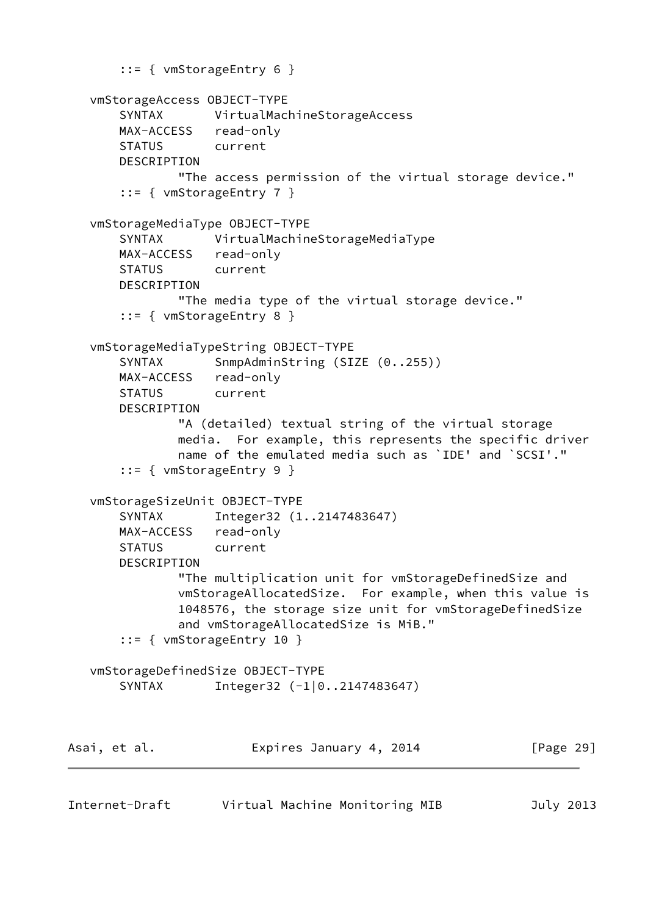```
 ::= { vmStorageEntry 6 }
    vmStorageAccess OBJECT-TYPE
       SYNTAX VirtualMachineStorageAccess
       MAX-ACCESS read-only
       STATUS current
       DESCRIPTION
               "The access permission of the virtual storage device."
        ::= { vmStorageEntry 7 }
   vmStorageMediaType OBJECT-TYPE
       SYNTAX VirtualMachineStorageMediaType
       MAX-ACCESS read-only
       STATUS current
       DESCRIPTION
               "The media type of the virtual storage device."
        ::= { vmStorageEntry 8 }
    vmStorageMediaTypeString OBJECT-TYPE
      SYNTAX SnmpAdminString (SIZE (0..255))
       MAX-ACCESS read-only
       STATUS current
       DESCRIPTION
               "A (detailed) textual string of the virtual storage
               media. For example, this represents the specific driver
               name of the emulated media such as `IDE' and `SCSI'."
        ::= { vmStorageEntry 9 }
   vmStorageSizeUnit OBJECT-TYPE
       SYNTAX Integer32 (1..2147483647)
       MAX-ACCESS read-only
       STATUS current
       DESCRIPTION
               "The multiplication unit for vmStorageDefinedSize and
               vmStorageAllocatedSize. For example, when this value is
               1048576, the storage size unit for vmStorageDefinedSize
               and vmStorageAllocatedSize is MiB."
        ::= { vmStorageEntry 10 }
   vmStorageDefinedSize OBJECT-TYPE
      SYNTAX Integer32 (-1|0..2147483647)
Asai, et al. Expires January 4, 2014 [Page 29]
```
Internet-Draft Virtual Machine Monitoring MIB July 2013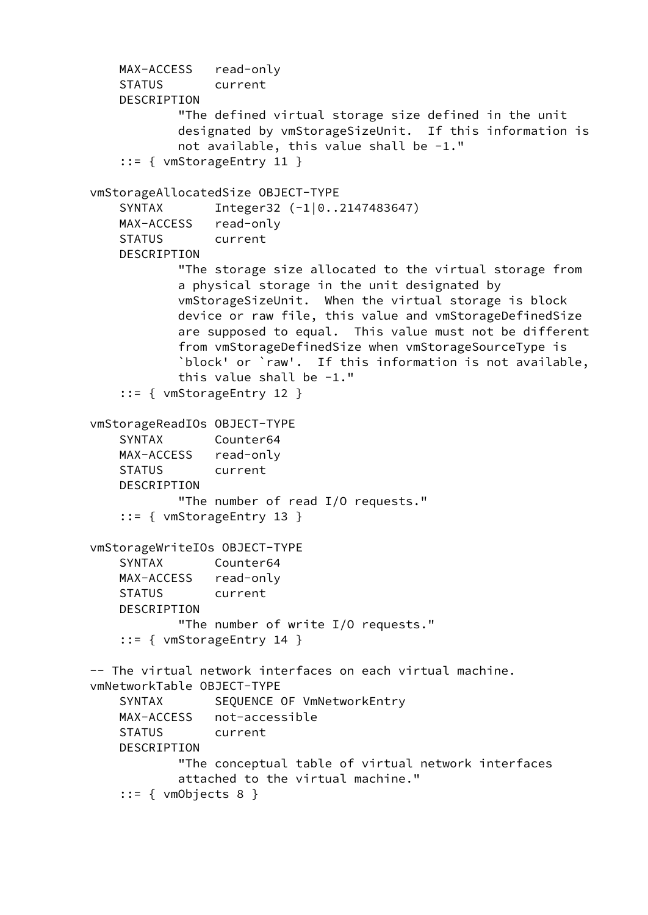```
 MAX-ACCESS read-only
    STATUS current
    DESCRIPTION
             "The defined virtual storage size defined in the unit
            designated by vmStorageSizeUnit. If this information is
             not available, this value shall be -1."
     ::= { vmStorageEntry 11 }
 vmStorageAllocatedSize OBJECT-TYPE
   SYNTAX Integer32 (-1|0..2147483647)
    MAX-ACCESS read-only
    STATUS current
    DESCRIPTION
             "The storage size allocated to the virtual storage from
             a physical storage in the unit designated by
            vmStorageSizeUnit. When the virtual storage is block
            device or raw file, this value and vmStorageDefinedSize
             are supposed to equal. This value must not be different
             from vmStorageDefinedSize when vmStorageSourceType is
             `block' or `raw'. If this information is not available,
            this value shall be -1."
     ::= { vmStorageEntry 12 }
 vmStorageReadIOs OBJECT-TYPE
    SYNTAX Counter64
    MAX-ACCESS read-only
    STATUS current
    DESCRIPTION
             "The number of read I/O requests."
     ::= { vmStorageEntry 13 }
 vmStorageWriteIOs OBJECT-TYPE
    SYNTAX Counter64
    MAX-ACCESS read-only
    STATUS current
    DESCRIPTION
             "The number of write I/O requests."
     ::= { vmStorageEntry 14 }
 -- The virtual network interfaces on each virtual machine.
 vmNetworkTable OBJECT-TYPE
   SYNTAX SEQUENCE OF VmNetworkEntry
    MAX-ACCESS not-accessible
    STATUS current
   DESCRIPTION
             "The conceptual table of virtual network interfaces
             attached to the virtual machine."
     ::= { vmObjects 8 }
```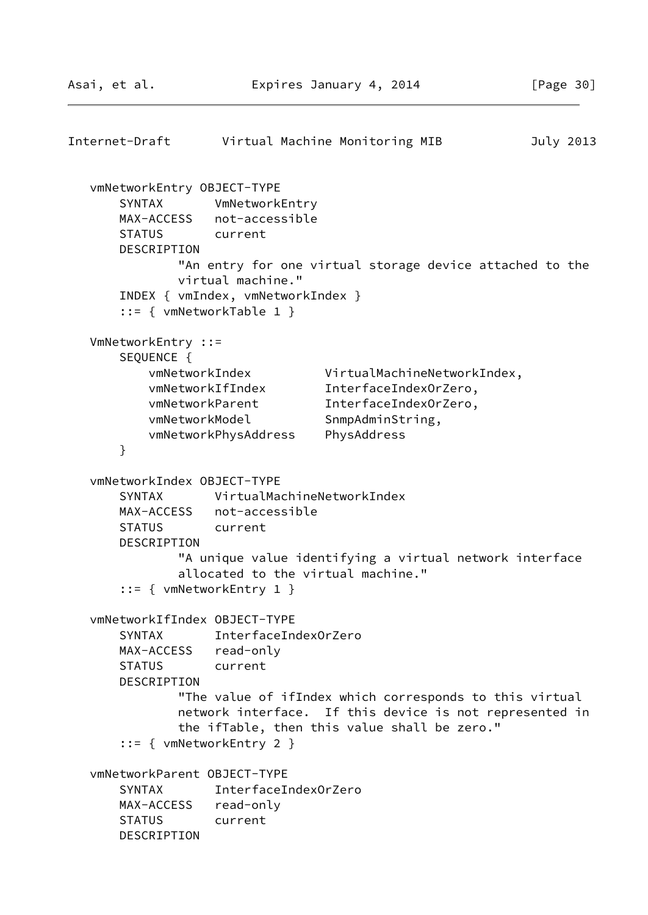```
Internet-Draft Virtual Machine Monitoring MIB July 2013
   vmNetworkEntry OBJECT-TYPE
       SYNTAX VmNetworkEntry
       MAX-ACCESS not-accessible
       STATUS current
       DESCRIPTION
               "An entry for one virtual storage device attached to the
               virtual machine."
       INDEX { vmIndex, vmNetworkIndex }
       ::= { vmNetworkTable 1 }
   VmNetworkEntry ::=
       SEQUENCE {
           vmNetworkIndex VirtualMachineNetworkIndex,
           vmNetworkIfIndex InterfaceIndexOrZero,
           vmNetworkParent InterfaceIndexOrZero,
           vmNetworkModel SnmpAdminString,
           vmNetworkPhysAddress PhysAddress
       }
   vmNetworkIndex OBJECT-TYPE
       SYNTAX VirtualMachineNetworkIndex
       MAX-ACCESS not-accessible
       STATUS current
       DESCRIPTION
               "A unique value identifying a virtual network interface
               allocated to the virtual machine."
       ::= { vmNetworkEntry 1 }
   vmNetworkIfIndex OBJECT-TYPE
       SYNTAX InterfaceIndexOrZero
       MAX-ACCESS read-only
       STATUS current
       DESCRIPTION
               "The value of ifIndex which corresponds to this virtual
               network interface. If this device is not represented in
               the ifTable, then this value shall be zero."
       ::= { vmNetworkEntry 2 }
   vmNetworkParent OBJECT-TYPE
       SYNTAX InterfaceIndexOrZero
       MAX-ACCESS read-only
       STATUS current
       DESCRIPTION
```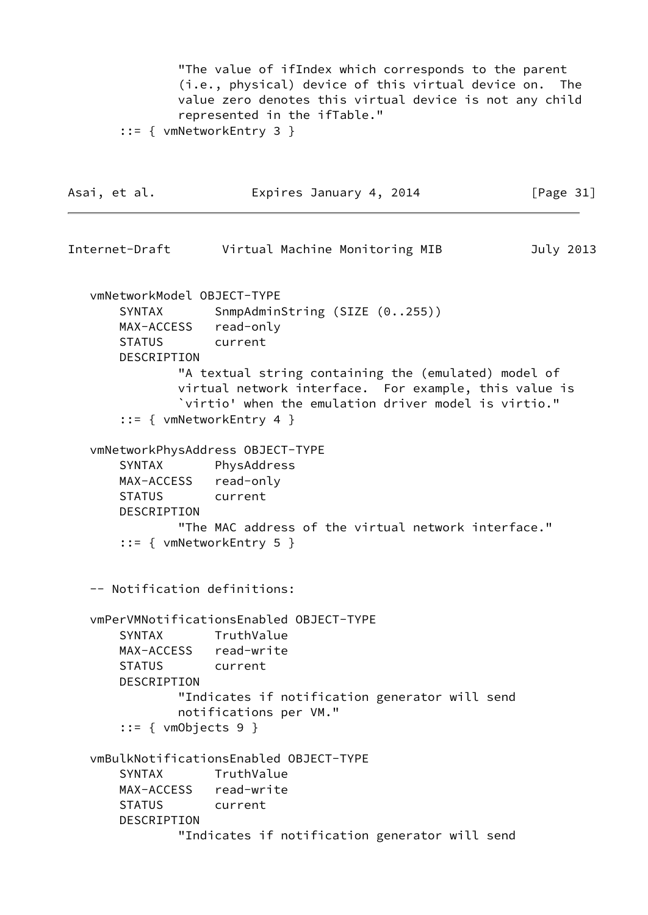```
 "The value of ifIndex which corresponds to the parent
               (i.e., physical) device of this virtual device on. The
               value zero denotes this virtual device is not any child
               represented in the ifTable."
       ::= { vmNetworkEntry 3 }
Asai, et al. Expires January 4, 2014 [Page 31]
Internet-Draft Virtual Machine Monitoring MIB July 2013
   vmNetworkModel OBJECT-TYPE
      SYNTAX SnmpAdminString (SIZE (0..255))
       MAX-ACCESS read-only
       STATUS current
       DESCRIPTION
               "A textual string containing the (emulated) model of
               virtual network interface. For example, this value is
               `virtio' when the emulation driver model is virtio."
       ::= { vmNetworkEntry 4 }
   vmNetworkPhysAddress OBJECT-TYPE
       SYNTAX PhysAddress
       MAX-ACCESS read-only
       STATUS current
       DESCRIPTION
               "The MAC address of the virtual network interface."
       ::= { vmNetworkEntry 5 }
   -- Notification definitions:
   vmPerVMNotificationsEnabled OBJECT-TYPE
       SYNTAX TruthValue
       MAX-ACCESS read-write
       STATUS current
       DESCRIPTION
               "Indicates if notification generator will send
               notifications per VM."
       ::= { vmObjects 9 }
   vmBulkNotificationsEnabled OBJECT-TYPE
       SYNTAX TruthValue
       MAX-ACCESS read-write
       STATUS current
       DESCRIPTION
               "Indicates if notification generator will send
```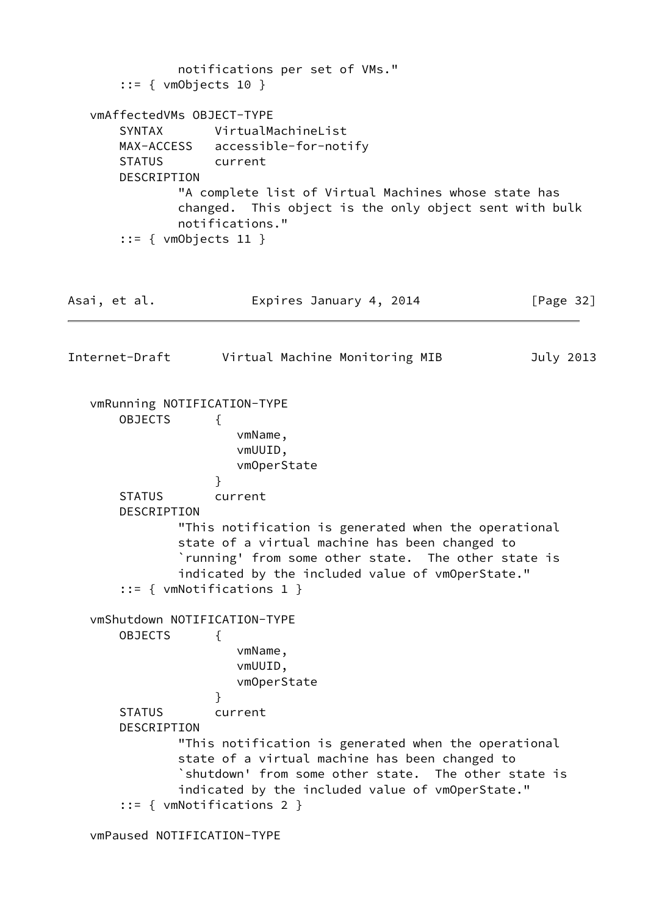```
 notifications per set of VMs."
       ::= { vmObjects 10 }
   vmAffectedVMs OBJECT-TYPE
       SYNTAX VirtualMachineList
       MAX-ACCESS accessible-for-notify
       STATUS current
       DESCRIPTION
               "A complete list of Virtual Machines whose state has
               changed. This object is the only object sent with bulk
               notifications."
       ::= { vmObjects 11 }
Asai, et al. Expires January 4, 2014 [Page 32]
Internet-Draft Virtual Machine Monitoring MIB July 2013
   vmRunning NOTIFICATION-TYPE
       OBJECTS {
                      vmName,
                      vmUUID,
                      vmOperState
 }
       STATUS current
       DESCRIPTION
               "This notification is generated when the operational
               state of a virtual machine has been changed to
               `running' from some other state. The other state is
               indicated by the included value of vmOperState."
       ::= { vmNotifications 1 }
   vmShutdown NOTIFICATION-TYPE
       OBJECTS {
                      vmName,
                      vmUUID,
                      vmOperState
 }
       STATUS current
       DESCRIPTION
               "This notification is generated when the operational
               state of a virtual machine has been changed to
               `shutdown' from some other state. The other state is
               indicated by the included value of vmOperState."
       ::= { vmNotifications 2 }
```
vmPaused NOTIFICATION-TYPE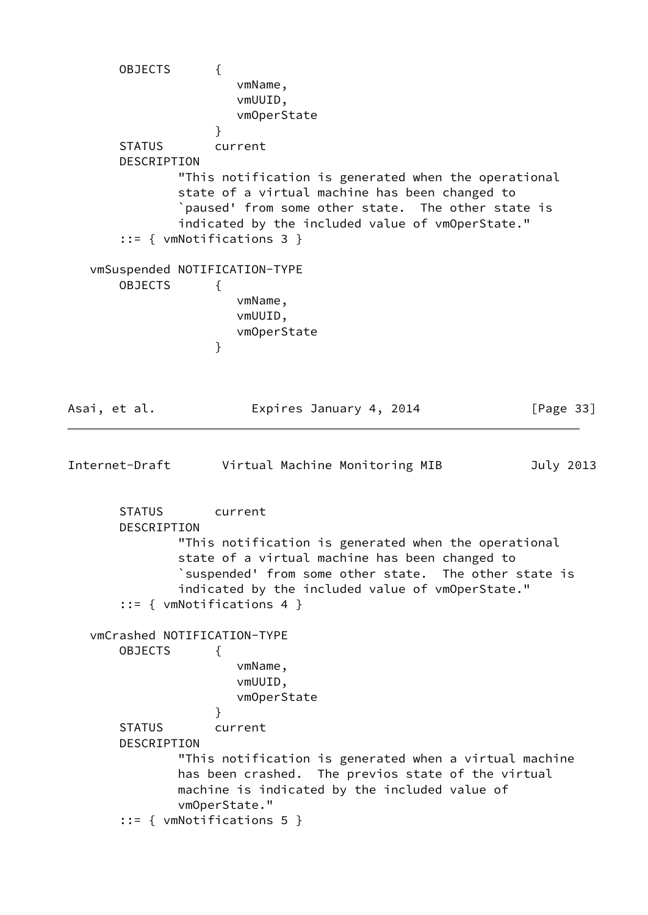OBJECTS { vmName, vmUUID, vmOperState } STATUS current DESCRIPTION "This notification is generated when the operational state of a virtual machine has been changed to `paused' from some other state. The other state is indicated by the included value of vmOperState." ::= { vmNotifications 3 } vmSuspended NOTIFICATION-TYPE OBJECTS { vmName, vmUUID, vmOperState } Asai, et al. **Expires January 4, 2014** [Page 33] Internet-Draft Virtual Machine Monitoring MIB July 2013 STATUS current DESCRIPTION "This notification is generated when the operational state of a virtual machine has been changed to `suspended' from some other state. The other state is indicated by the included value of vmOperState." ::= { vmNotifications 4 } vmCrashed NOTIFICATION-TYPE OBJECTS { vmName, vmUUID, vmOperState } STATUS current DESCRIPTION "This notification is generated when a virtual machine has been crashed. The previos state of the virtual machine is indicated by the included value of vmOperState." ::= { vmNotifications 5 }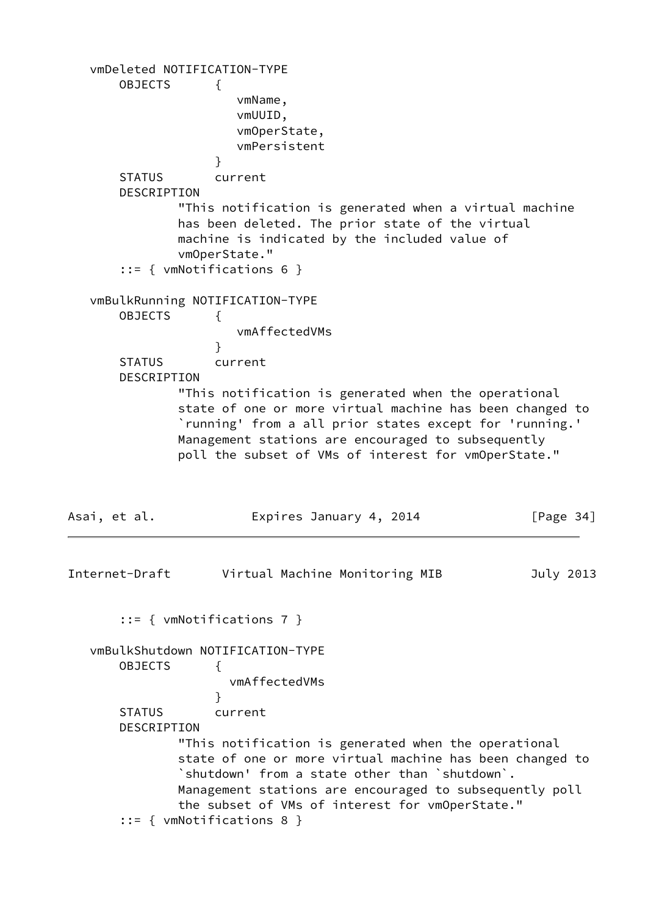vmDeleted NOTIFICATION-TYPE OBJECTS { vmName, vmUUID, vmOperState, vmPersistent } STATUS current DESCRIPTION "This notification is generated when a virtual machine has been deleted. The prior state of the virtual machine is indicated by the included value of vmOperState." ::= { vmNotifications 6 } vmBulkRunning NOTIFICATION-TYPE OBJECTS { vmAffectedVMs } STATUS current DESCRIPTION "This notification is generated when the operational state of one or more virtual machine has been changed to `running' from a all prior states except for 'running.' Management stations are encouraged to subsequently poll the subset of VMs of interest for vmOperState." Asai, et al. **Expires January 4, 2014** [Page 34] Internet-Draft Virtual Machine Monitoring MIB July 2013 ::= { vmNotifications 7 } vmBulkShutdown NOTIFICATION-TYPE OBJECTS { vmAffectedVMs } STATUS current DESCRIPTION "This notification is generated when the operational state of one or more virtual machine has been changed to `shutdown' from a state other than `shutdown`. Management stations are encouraged to subsequently poll the subset of VMs of interest for vmOperState." ::= { vmNotifications 8 }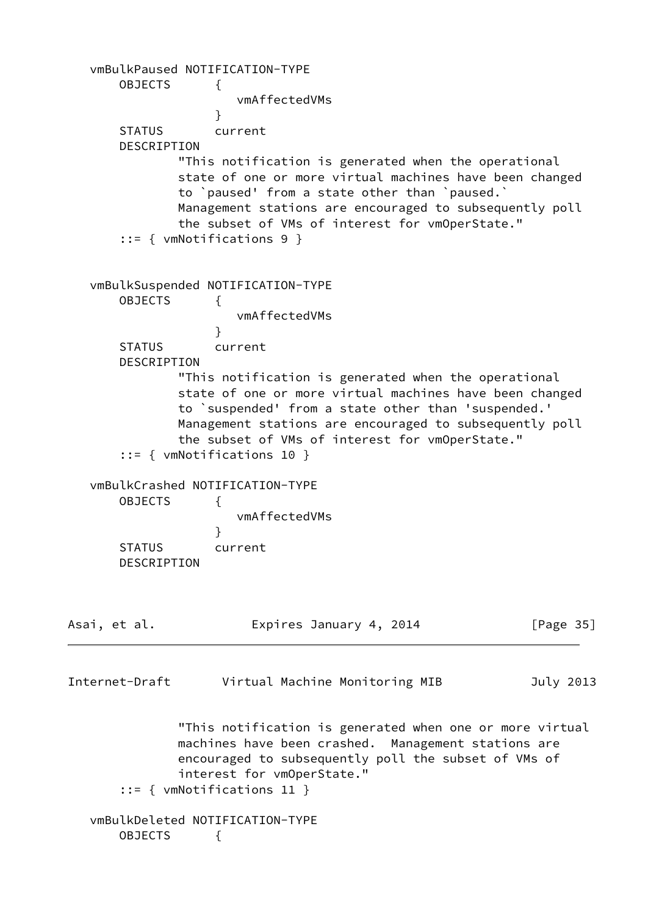vmBulkPaused NOTIFICATION-TYPE OBJECTS { vmAffectedVMs } STATUS current DESCRIPTION "This notification is generated when the operational state of one or more virtual machines have been changed to `paused' from a state other than `paused.` Management stations are encouraged to subsequently poll the subset of VMs of interest for vmOperState." ::= { vmNotifications 9 } vmBulkSuspended NOTIFICATION-TYPE OBJECTS { vmAffectedVMs } STATUS current DESCRIPTION "This notification is generated when the operational state of one or more virtual machines have been changed to `suspended' from a state other than 'suspended.' Management stations are encouraged to subsequently poll the subset of VMs of interest for vmOperState." ::= { vmNotifications 10 } vmBulkCrashed NOTIFICATION-TYPE OBJECTS { vmAffectedVMs } STATUS current DESCRIPTION Asai, et al. **Expires January 4, 2014** [Page 35] Internet-Draft Virtual Machine Monitoring MIB July 2013 "This notification is generated when one or more virtual machines have been crashed. Management stations are encouraged to subsequently poll the subset of VMs of interest for vmOperState." ::= { vmNotifications 11 } vmBulkDeleted NOTIFICATION-TYPE OBJECTS {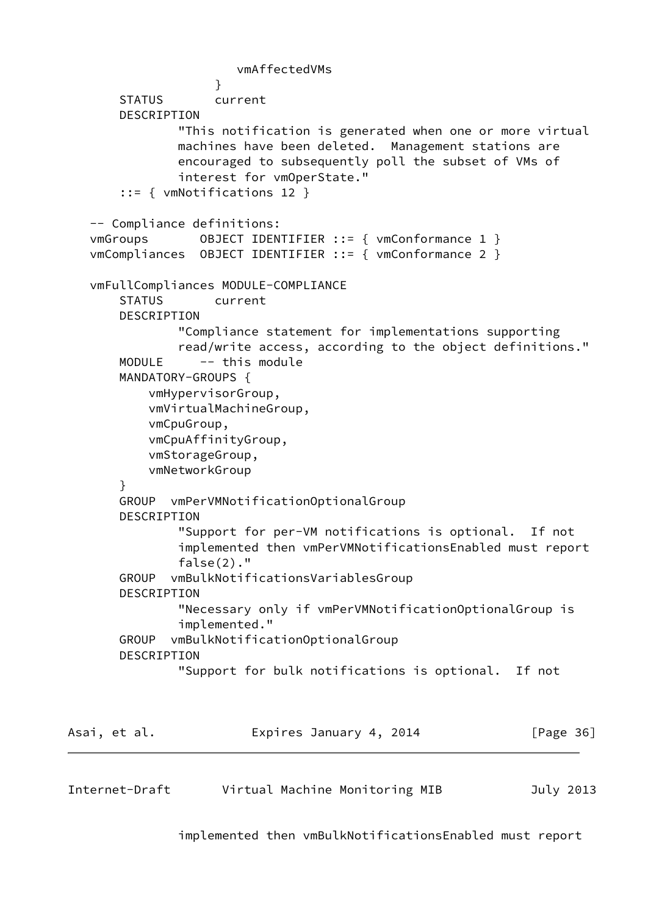```
 vmAffectedVMs
 }
       STATUS current
       DESCRIPTION
               "This notification is generated when one or more virtual
               machines have been deleted. Management stations are
               encouraged to subsequently poll the subset of VMs of
               interest for vmOperState."
        ::= { vmNotifications 12 }
    -- Compliance definitions:
   vmGroups OBJECT IDENTIFIER ::= { vmConformance 1 }
    vmCompliances OBJECT IDENTIFIER ::= { vmConformance 2 }
   vmFullCompliances MODULE-COMPLIANCE
       STATUS current
       DESCRIPTION
               "Compliance statement for implementations supporting
               read/write access, according to the object definitions."
      MODULE -- this module
       MANDATORY-GROUPS {
           vmHypervisorGroup,
           vmVirtualMachineGroup,
           vmCpuGroup,
           vmCpuAffinityGroup,
           vmStorageGroup,
           vmNetworkGroup
       }
       GROUP vmPerVMNotificationOptionalGroup
       DESCRIPTION
               "Support for per-VM notifications is optional. If not
               implemented then vmPerVMNotificationsEnabled must report
               false(2)."
       GROUP vmBulkNotificationsVariablesGroup
       DESCRIPTION
               "Necessary only if vmPerVMNotificationOptionalGroup is
               implemented."
       GROUP vmBulkNotificationOptionalGroup
       DESCRIPTION
               "Support for bulk notifications is optional. If not
Asai, et al. Expires January 4, 2014 [Page 36]
```
implemented then vmBulkNotificationsEnabled must report

Internet-Draft Virtual Machine Monitoring MIB July 2013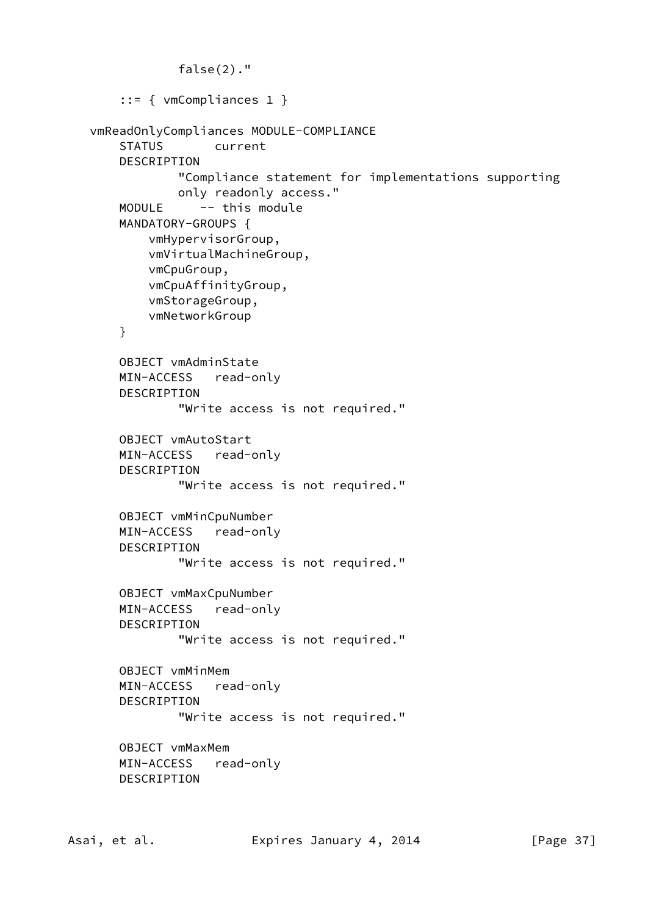```
 false(2)."
     ::= { vmCompliances 1 }
 vmReadOnlyCompliances MODULE-COMPLIANCE
     STATUS current
     DESCRIPTION
             "Compliance statement for implementations supporting
             only readonly access."
    MODULE -- this module
     MANDATORY-GROUPS {
         vmHypervisorGroup,
         vmVirtualMachineGroup,
         vmCpuGroup,
         vmCpuAffinityGroup,
         vmStorageGroup,
         vmNetworkGroup
     }
     OBJECT vmAdminState
     MIN-ACCESS read-only
     DESCRIPTION
             "Write access is not required."
     OBJECT vmAutoStart
     MIN-ACCESS read-only
     DESCRIPTION
             "Write access is not required."
     OBJECT vmMinCpuNumber
     MIN-ACCESS read-only
     DESCRIPTION
             "Write access is not required."
     OBJECT vmMaxCpuNumber
     MIN-ACCESS read-only
     DESCRIPTION
             "Write access is not required."
     OBJECT vmMinMem
     MIN-ACCESS read-only
     DESCRIPTION
             "Write access is not required."
     OBJECT vmMaxMem
     MIN-ACCESS read-only
     DESCRIPTION
```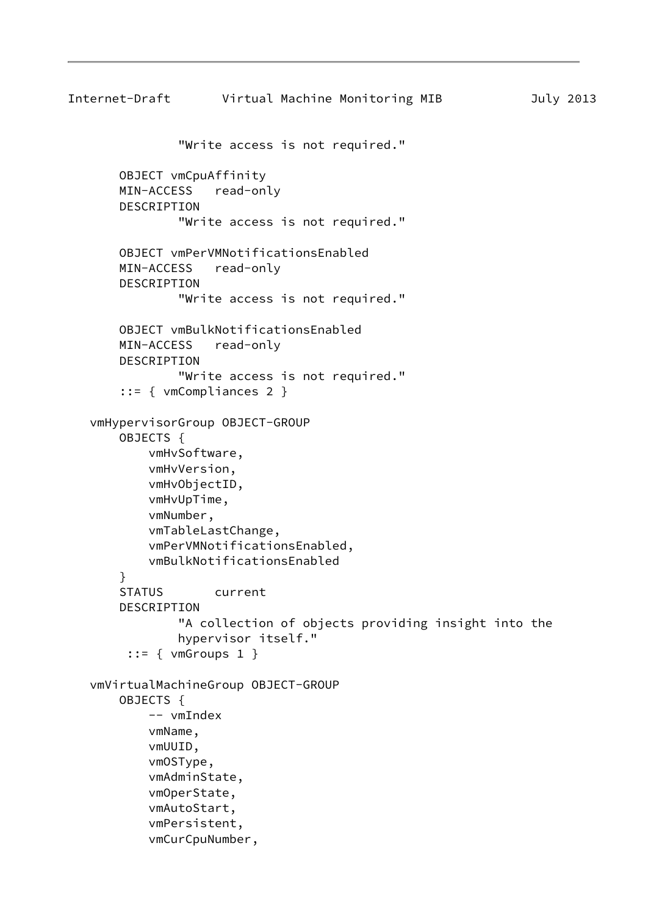```
Internet-Draft Virtual Machine Monitoring MIB July 2013
                "Write access is not required."
        OBJECT vmCpuAffinity
        MIN-ACCESS read-only
        DESCRIPTION
                "Write access is not required."
        OBJECT vmPerVMNotificationsEnabled
        MIN-ACCESS read-only
        DESCRIPTION
                "Write access is not required."
        OBJECT vmBulkNotificationsEnabled
        MIN-ACCESS read-only
        DESCRIPTION
                "Write access is not required."
        ::= { vmCompliances 2 }
    vmHypervisorGroup OBJECT-GROUP
        OBJECTS {
            vmHvSoftware,
            vmHvVersion,
            vmHvObjectID,
            vmHvUpTime,
            vmNumber,
            vmTableLastChange,
            vmPerVMNotificationsEnabled,
            vmBulkNotificationsEnabled
        }
        STATUS current
        DESCRIPTION
                "A collection of objects providing insight into the
                hypervisor itself."
        ::= { vmGroups 1 }
    vmVirtualMachineGroup OBJECT-GROUP
        OBJECTS {
            -- vmIndex
            vmName,
            vmUUID,
            vmOSType,
            vmAdminState,
            vmOperState,
            vmAutoStart,
            vmPersistent,
            vmCurCpuNumber,
```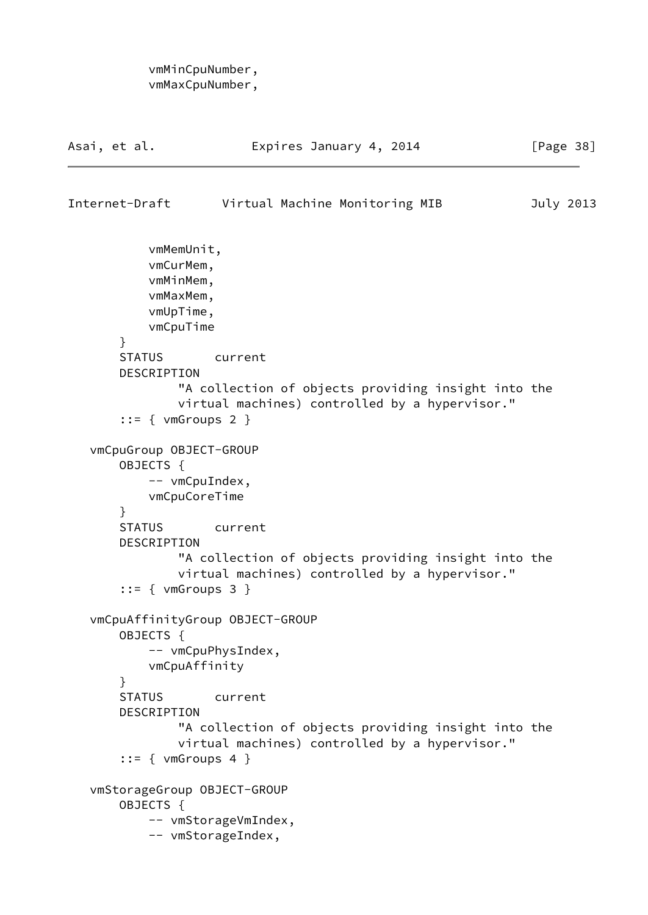| Asai, et al. | Expires January 4, 2014 | [Page 38] |
|--------------|-------------------------|-----------|
|              |                         |           |

```
Internet-Draft Virtual Machine Monitoring MIB July 2013
```

```
 vmMemUnit,
         vmCurMem,
         vmMinMem,
         vmMaxMem,
         vmUpTime,
         vmCpuTime
     }
     STATUS current
     DESCRIPTION
             "A collection of objects providing insight into the
             virtual machines) controlled by a hypervisor."
    ::= { vmGroups 2 }
 vmCpuGroup OBJECT-GROUP
     OBJECTS {
        -- vmCpuIndex,
         vmCpuCoreTime
     }
     STATUS current
     DESCRIPTION
             "A collection of objects providing insight into the
             virtual machines) controlled by a hypervisor."
    ::= { vmGroups 3 }
 vmCpuAffinityGroup OBJECT-GROUP
     OBJECTS {
        -- vmCpuPhysIndex,
         vmCpuAffinity
     }
     STATUS current
     DESCRIPTION
             "A collection of objects providing insight into the
             virtual machines) controlled by a hypervisor."
    ::= { vmGroups 4 }
 vmStorageGroup OBJECT-GROUP
     OBJECTS {
        -- vmStorageVmIndex,
        -- vmStorageIndex,
```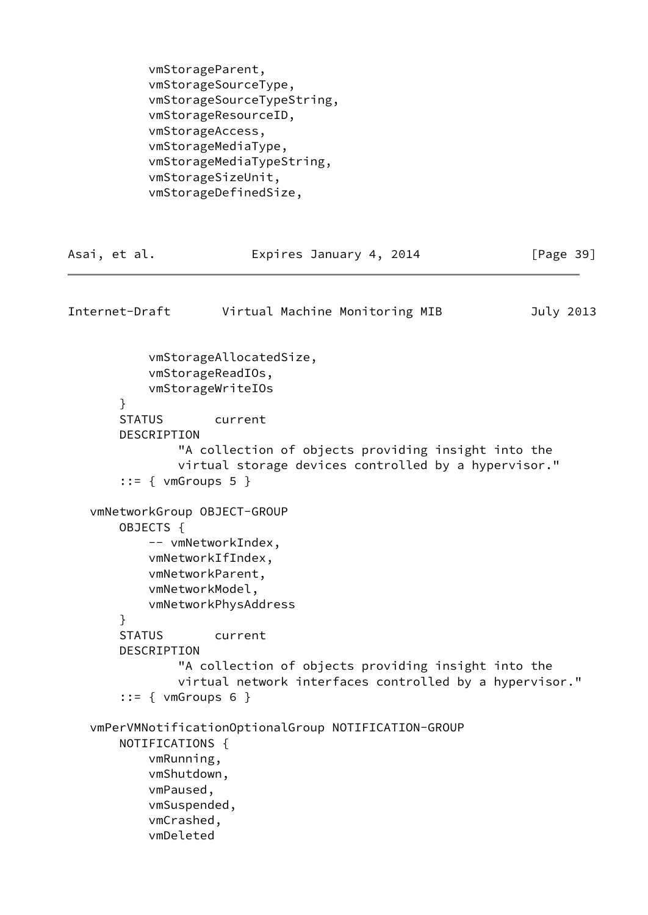vmStorageParent, vmStorageSourceType, vmStorageSourceTypeString, vmStorageResourceID, vmStorageAccess, vmStorageMediaType, vmStorageMediaTypeString, vmStorageSizeUnit, vmStorageDefinedSize,

| Asai, et al.                 | Expires January 4, 2014                                                                                                               | [Page 39] |
|------------------------------|---------------------------------------------------------------------------------------------------------------------------------------|-----------|
| Internet-Draft               | Virtual Machine Monitoring MIB                                                                                                        | July 2013 |
| }                            | vmStorageAllocatedSize,<br>vmStorageReadIOs,<br>vmStorageWriteIOs                                                                     |           |
| <b>STATUS</b>                | current                                                                                                                               |           |
| DESCRIPTION                  |                                                                                                                                       |           |
|                              | "A collection of objects providing insight into the<br>virtual storage devices controlled by a hypervisor."<br>$::=$ { $vmGroups$ 5 } |           |
|                              | vmNetworkGroup OBJECT-GROUP                                                                                                           |           |
| OBJECTS {                    | -- vmNetworkIndex,                                                                                                                    |           |
|                              | vmNetworkIfIndex,                                                                                                                     |           |
|                              | vmNetworkParent,                                                                                                                      |           |
|                              | vmNetworkModel,                                                                                                                       |           |
|                              | vmNetworkPhysAddress                                                                                                                  |           |
| }                            |                                                                                                                                       |           |
| <b>STATUS</b><br>DESCRIPTION | current                                                                                                                               |           |
|                              | "A collection of objects providing insight into the                                                                                   |           |
|                              | virtual network interfaces controlled by a hypervisor."                                                                               |           |
|                              | $::=$ { $vmGroups$ 6 }                                                                                                                |           |
|                              | vmPerVMNotificationOptionalGroup NOTIFICATION-GROUP                                                                                   |           |
| NOTIFICATIONS {              |                                                                                                                                       |           |
|                              | vmRunning,                                                                                                                            |           |
|                              | vmShutdown,                                                                                                                           |           |
|                              | vmPaused,<br>vmSuspended,                                                                                                             |           |
|                              | vmCrashed,                                                                                                                            |           |
|                              | vmDeleted                                                                                                                             |           |
|                              |                                                                                                                                       |           |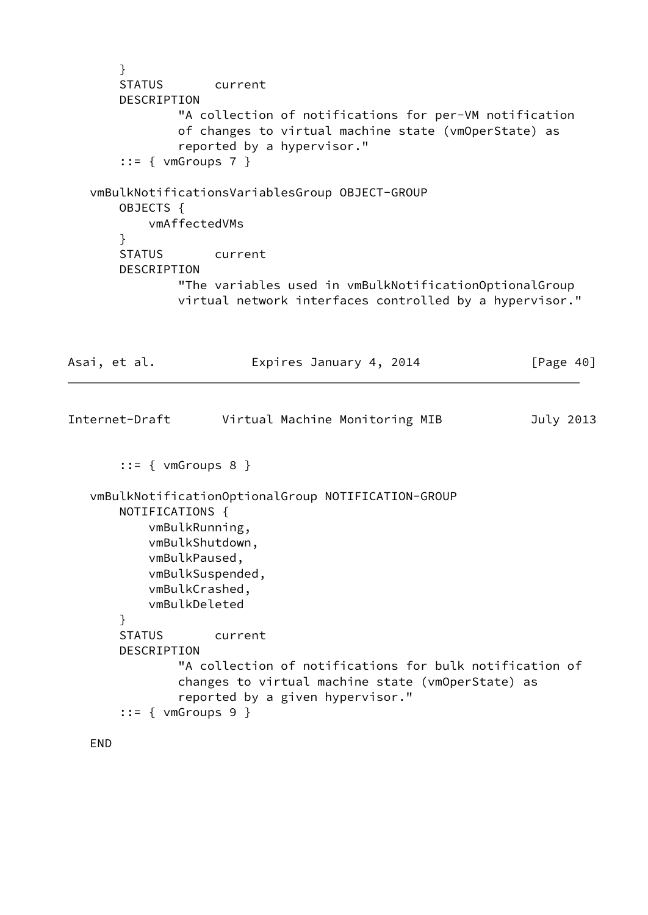```
 }
       STATUS current
       DESCRIPTION
               "A collection of notifications for per-VM notification
               of changes to virtual machine state (vmOperState) as
               reported by a hypervisor."
        ::= { vmGroups 7 }
   vmBulkNotificationsVariablesGroup OBJECT-GROUP
       OBJECTS {
           vmAffectedVMs
       }
       STATUS current
       DESCRIPTION
               "The variables used in vmBulkNotificationOptionalGroup
               virtual network interfaces controlled by a hypervisor."
Asai, et al. Expires January 4, 2014 [Page 40]
Internet-Draft Virtual Machine Monitoring MIB July 2013
       ::= { vmGroups 8 }
   vmBulkNotificationOptionalGroup NOTIFICATION-GROUP
       NOTIFICATIONS {
           vmBulkRunning,
           vmBulkShutdown,
           vmBulkPaused,
           vmBulkSuspended,
           vmBulkCrashed,
           vmBulkDeleted
       }
       STATUS current
       DESCRIPTION
               "A collection of notifications for bulk notification of
               changes to virtual machine state (vmOperState) as
                reported by a given hypervisor."
       ::= { vmGroups 9 }
   END
```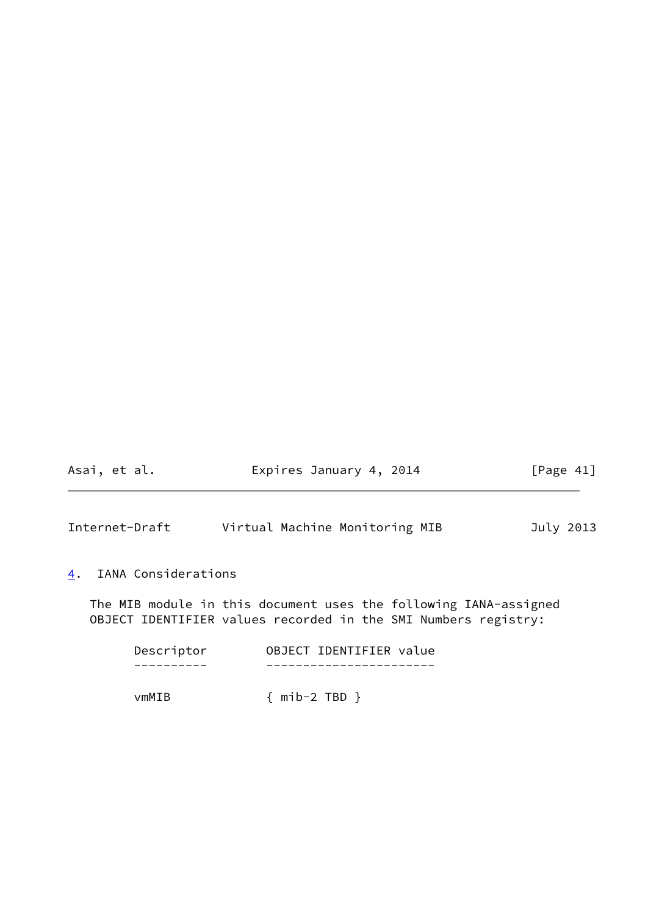Asai, et al. Expires January 4, 2014 [Page 41]

<span id="page-46-1"></span>Internet-Draft Virtual Machine Monitoring MIB July 2013

<span id="page-46-0"></span>[4](#page-46-0). IANA Considerations

 The MIB module in this document uses the following IANA-assigned OBJECT IDENTIFIER values recorded in the SMI Numbers registry:

| Descriptor |                     | OBJECT IDENTIFIER value |  |
|------------|---------------------|-------------------------|--|
|            |                     |                         |  |
| vmMTR      | $\{$ mib-2 TBD $\}$ |                         |  |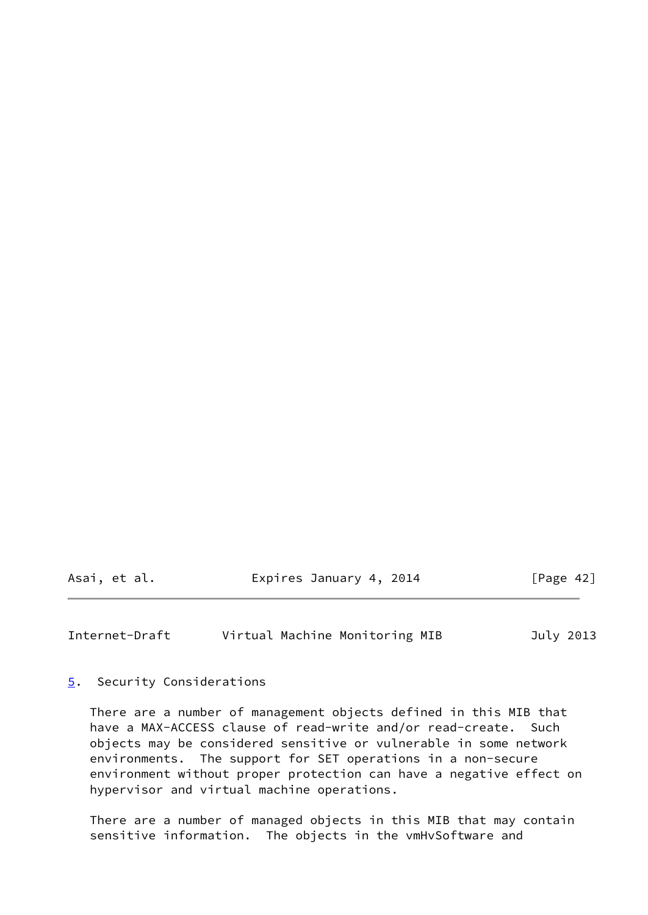Asai, et al. **Expires January 4, 2014** [Page 42]

<span id="page-47-1"></span>Internet-Draft Virtual Machine Monitoring MIB July 2013

#### <span id="page-47-0"></span>[5](#page-47-0). Security Considerations

 There are a number of management objects defined in this MIB that have a MAX-ACCESS clause of read-write and/or read-create. Such objects may be considered sensitive or vulnerable in some network environments. The support for SET operations in a non-secure environment without proper protection can have a negative effect on hypervisor and virtual machine operations.

 There are a number of managed objects in this MIB that may contain sensitive information. The objects in the vmHvSoftware and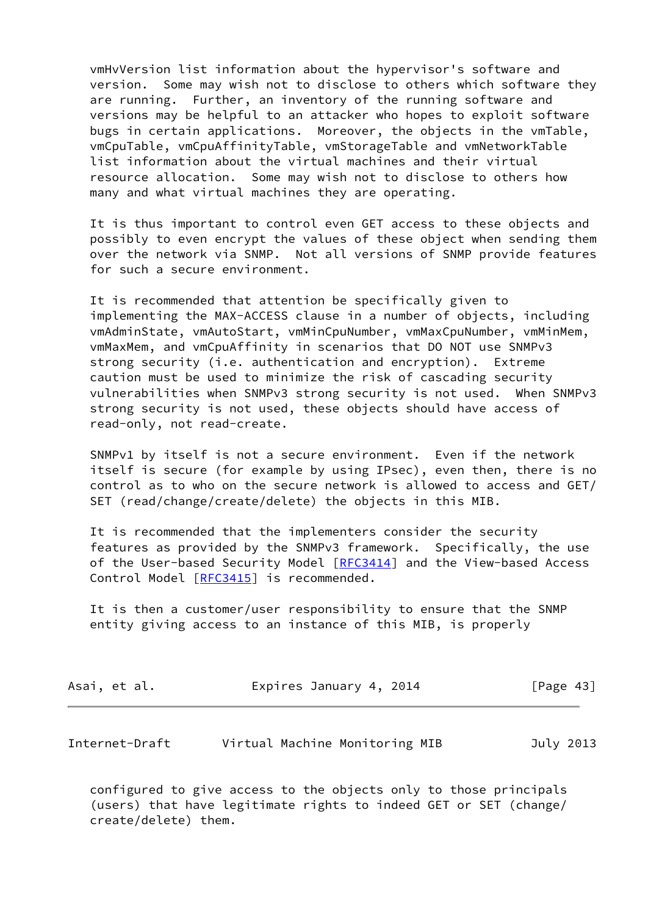vmHvVersion list information about the hypervisor's software and version. Some may wish not to disclose to others which software they are running. Further, an inventory of the running software and versions may be helpful to an attacker who hopes to exploit software bugs in certain applications. Moreover, the objects in the vmTable, vmCpuTable, vmCpuAffinityTable, vmStorageTable and vmNetworkTable list information about the virtual machines and their virtual resource allocation. Some may wish not to disclose to others how many and what virtual machines they are operating.

 It is thus important to control even GET access to these objects and possibly to even encrypt the values of these object when sending them over the network via SNMP. Not all versions of SNMP provide features for such a secure environment.

 It is recommended that attention be specifically given to implementing the MAX-ACCESS clause in a number of objects, including vmAdminState, vmAutoStart, vmMinCpuNumber, vmMaxCpuNumber, vmMinMem, vmMaxMem, and vmCpuAffinity in scenarios that DO NOT use SNMPv3 strong security (i.e. authentication and encryption). Extreme caution must be used to minimize the risk of cascading security vulnerabilities when SNMPv3 strong security is not used. When SNMPv3 strong security is not used, these objects should have access of read-only, not read-create.

 SNMPv1 by itself is not a secure environment. Even if the network itself is secure (for example by using IPsec), even then, there is no control as to who on the secure network is allowed to access and GET/ SET (read/change/create/delete) the objects in this MIB.

 It is recommended that the implementers consider the security features as provided by the SNMPv3 framework. Specifically, the use of the User-based Security Model  $[REC3414]$  and the View-based Access Control Model [[RFC3415](https://datatracker.ietf.org/doc/pdf/rfc3415)] is recommended.

 It is then a customer/user responsibility to ensure that the SNMP entity giving access to an instance of this MIB, is properly

| Asai, et al. | Expires January 4, 2014 | [Page 43] |
|--------------|-------------------------|-----------|
|              |                         |           |

| Internet-Draft | Virtual Machine Monitoring MIB |  |  | July 2013 |
|----------------|--------------------------------|--|--|-----------|
|----------------|--------------------------------|--|--|-----------|

 configured to give access to the objects only to those principals (users) that have legitimate rights to indeed GET or SET (change/ create/delete) them.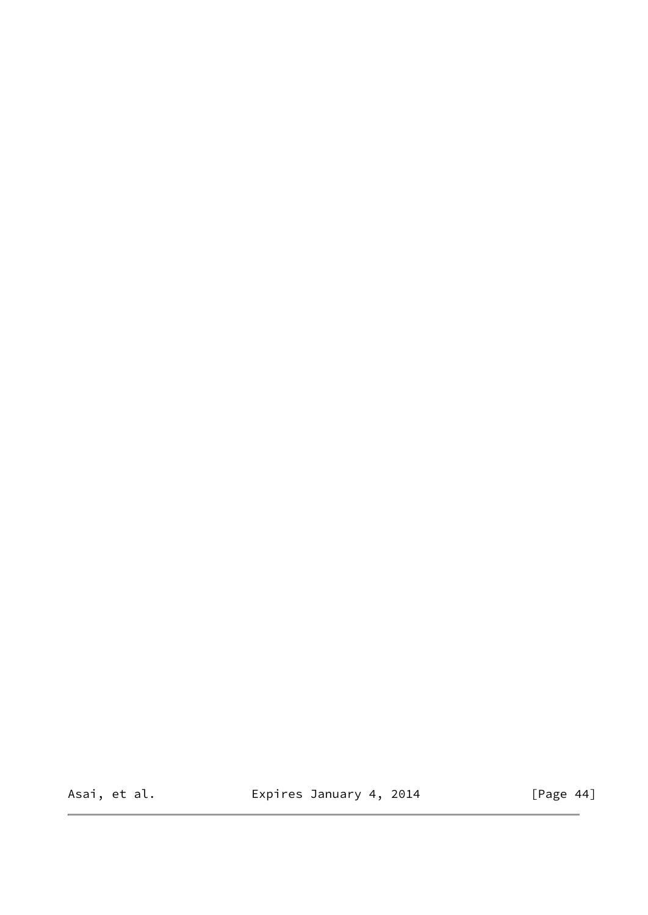Asai, et al. **Expires January 4, 2014** [Page 44]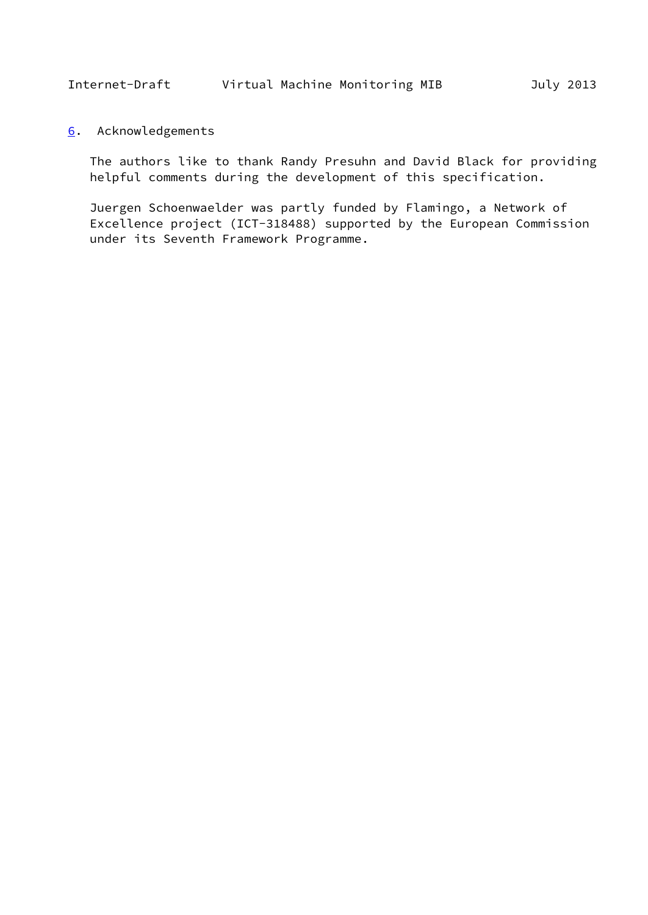<span id="page-50-1"></span><span id="page-50-0"></span>[6](#page-50-0). Acknowledgements

 The authors like to thank Randy Presuhn and David Black for providing helpful comments during the development of this specification.

 Juergen Schoenwaelder was partly funded by Flamingo, a Network of Excellence project (ICT-318488) supported by the European Commission under its Seventh Framework Programme.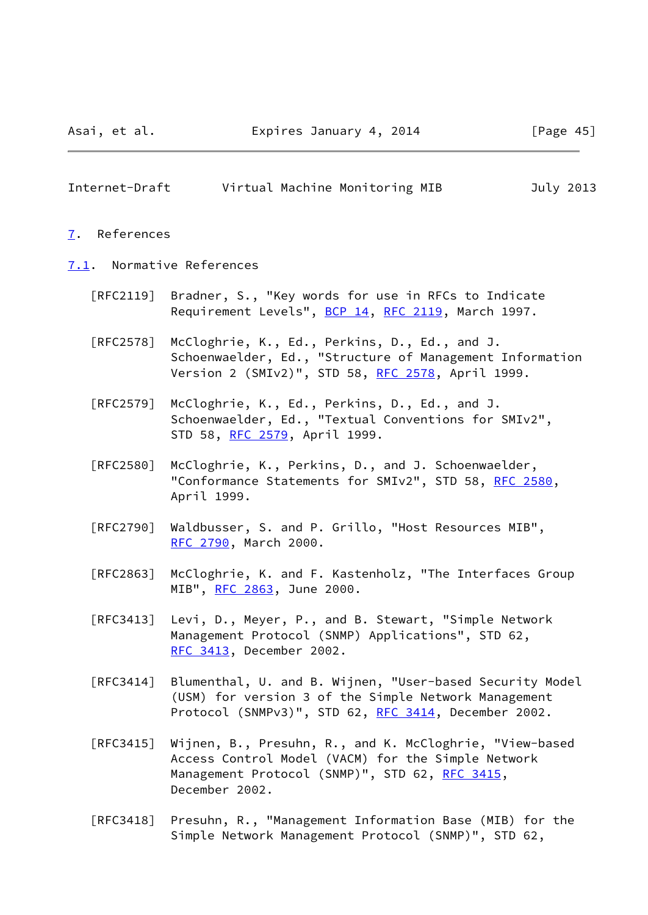<span id="page-51-1"></span>

| Internet-Draft | Virtual Machine Monitoring MIB |  | July 2013 |
|----------------|--------------------------------|--|-----------|
|                |                                |  |           |

- <span id="page-51-0"></span>[7](#page-51-0). References
- <span id="page-51-2"></span>[7.1](#page-51-2). Normative References
	- [RFC2119] Bradner, S., "Key words for use in RFCs to Indicate Requirement Levels", [BCP 14](https://datatracker.ietf.org/doc/pdf/bcp14), [RFC 2119](https://datatracker.ietf.org/doc/pdf/rfc2119), March 1997.
	- [RFC2578] McCloghrie, K., Ed., Perkins, D., Ed., and J. Schoenwaelder, Ed., "Structure of Management Information Version 2 (SMIv2)", STD 58, [RFC 2578,](https://datatracker.ietf.org/doc/pdf/rfc2578) April 1999.
	- [RFC2579] McCloghrie, K., Ed., Perkins, D., Ed., and J. Schoenwaelder, Ed., "Textual Conventions for SMIv2", STD 58, [RFC 2579,](https://datatracker.ietf.org/doc/pdf/rfc2579) April 1999.
	- [RFC2580] McCloghrie, K., Perkins, D., and J. Schoenwaelder, "Conformance Statements for SMIv2", STD 58, [RFC 2580,](https://datatracker.ietf.org/doc/pdf/rfc2580) April 1999.
	- [RFC2790] Waldbusser, S. and P. Grillo, "Host Resources MIB", [RFC 2790,](https://datatracker.ietf.org/doc/pdf/rfc2790) March 2000.
	- [RFC2863] McCloghrie, K. and F. Kastenholz, "The Interfaces Group MIB", [RFC 2863](https://datatracker.ietf.org/doc/pdf/rfc2863), June 2000.
	- [RFC3413] Levi, D., Meyer, P., and B. Stewart, "Simple Network Management Protocol (SNMP) Applications", STD 62, [RFC 3413,](https://datatracker.ietf.org/doc/pdf/rfc3413) December 2002.
	- [RFC3414] Blumenthal, U. and B. Wijnen, "User-based Security Model (USM) for version 3 of the Simple Network Management Protocol (SNMPv3)", STD 62, [RFC 3414,](https://datatracker.ietf.org/doc/pdf/rfc3414) December 2002.
	- [RFC3415] Wijnen, B., Presuhn, R., and K. McCloghrie, "View-based Access Control Model (VACM) for the Simple Network Management Protocol (SNMP)", STD 62, [RFC 3415](https://datatracker.ietf.org/doc/pdf/rfc3415), December 2002.
	- [RFC3418] Presuhn, R., "Management Information Base (MIB) for the Simple Network Management Protocol (SNMP)", STD 62,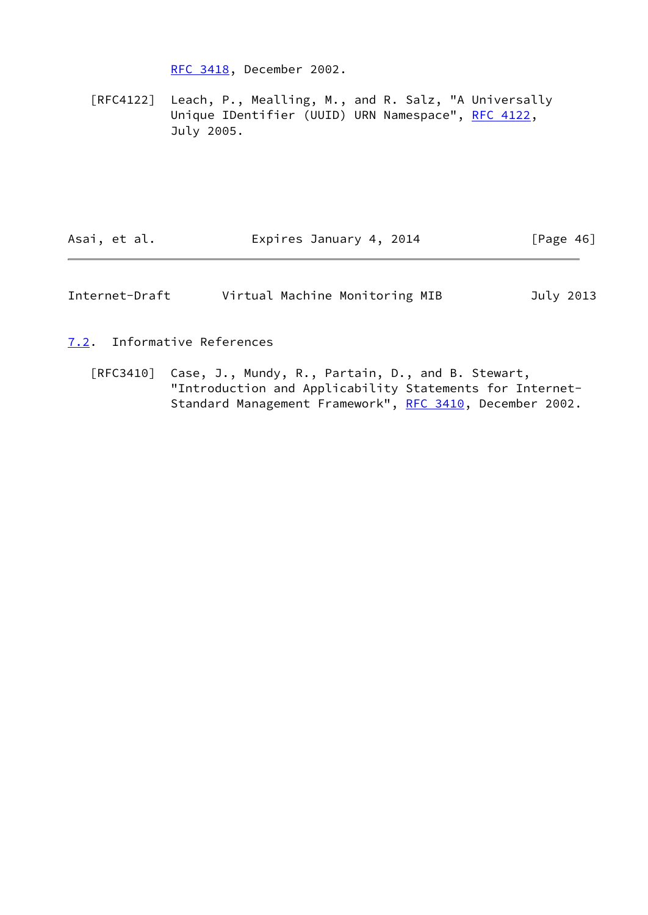[RFC 3418,](https://datatracker.ietf.org/doc/pdf/rfc3418) December 2002.

 [RFC4122] Leach, P., Mealling, M., and R. Salz, "A Universally Unique IDentifier (UUID) URN Namespace", [RFC 4122,](https://datatracker.ietf.org/doc/pdf/rfc4122) July 2005.

Asai, et al. **Expires January 4, 2014** [Page 46]

<span id="page-52-1"></span>Internet-Draft Virtual Machine Monitoring MIB July 2013

<span id="page-52-0"></span>[7.2](#page-52-0). Informative References

 [RFC3410] Case, J., Mundy, R., Partain, D., and B. Stewart, "Introduction and Applicability Statements for Internet- Standard Management Framework", [RFC 3410,](https://datatracker.ietf.org/doc/pdf/rfc3410) December 2002.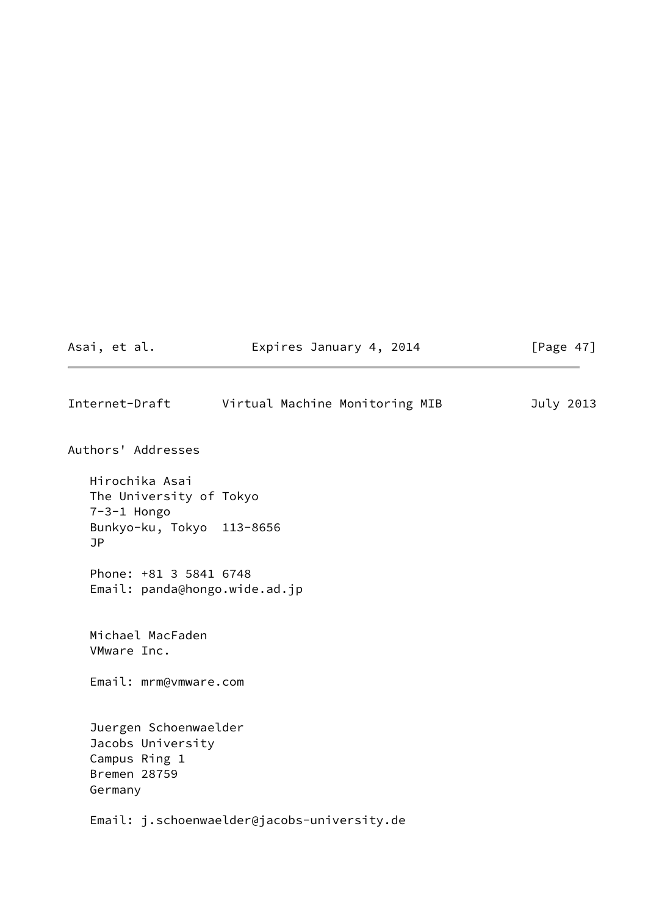<span id="page-53-0"></span>

| Asai, et al.                                                                                         | Expires January 4, 2014                       | [Page $47$ ] |
|------------------------------------------------------------------------------------------------------|-----------------------------------------------|--------------|
|                                                                                                      | Internet-Draft Virtual Machine Monitoring MIB | July 2013    |
| Authors' Addresses                                                                                   |                                               |              |
| Hirochika Asai<br>The University of Tokyo<br>$7-3-1$ Hongo<br>Bunkyo-ku, Tokyo 113-8656<br><b>JP</b> |                                               |              |
| Phone: +81 3 5841 6748<br>Email: panda@hongo.wide.ad.jp                                              |                                               |              |
| Michael MacFaden<br>VMware Inc.                                                                      |                                               |              |
| Email: mrm@vmware.com                                                                                |                                               |              |
| Juergen Schoenwaelder<br>Jacobs University<br>Campus Ring 1<br>Bremen 28759<br>Germany               |                                               |              |
|                                                                                                      | Email: j.schoenwaelder@jacobs-university.de   |              |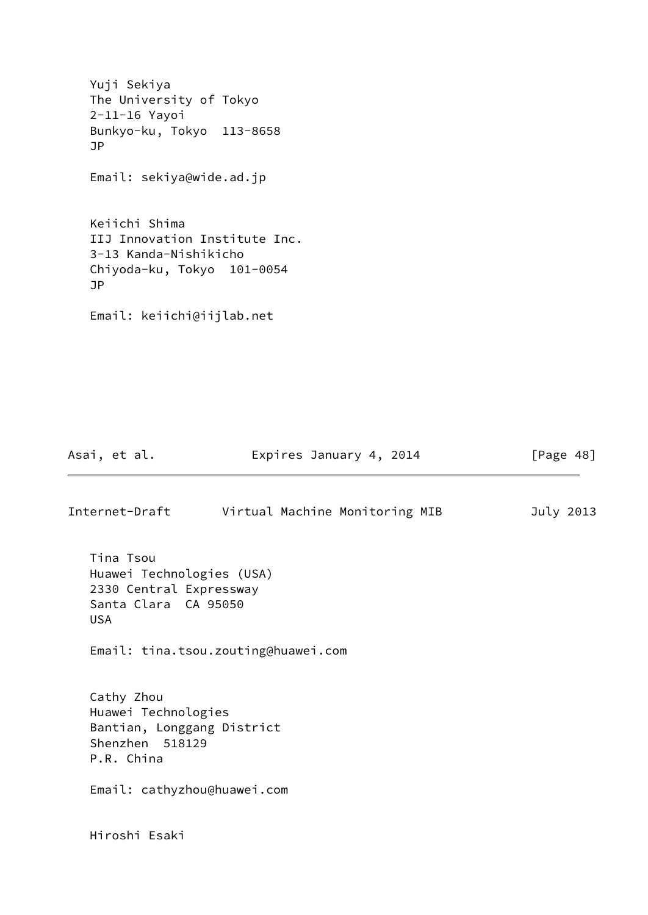```
 Yuji Sekiya
   The University of Tokyo
   2-11-16 Yayoi
   Bunkyo-ku, Tokyo 113-8658
   JP
   Email: sekiya@wide.ad.jp
   Keiichi Shima
   IIJ Innovation Institute Inc.
   3-13 Kanda-Nishikicho
   Chiyoda-ku, Tokyo 101-0054
   JP
   Email: keiichi@iijlab.net
Asai, et al. Expires January 4, 2014 [Page 48]
Internet-Draft Virtual Machine Monitoring MIB July 2013
   Tina Tsou
   Huawei Technologies (USA)
   2330 Central Expressway
   Santa Clara CA 95050
   USA
   Email: tina.tsou.zouting@huawei.com
   Cathy Zhou
   Huawei Technologies
   Bantian, Longgang District
   Shenzhen 518129
   P.R. China
   Email: cathyzhou@huawei.com
   Hiroshi Esaki
```